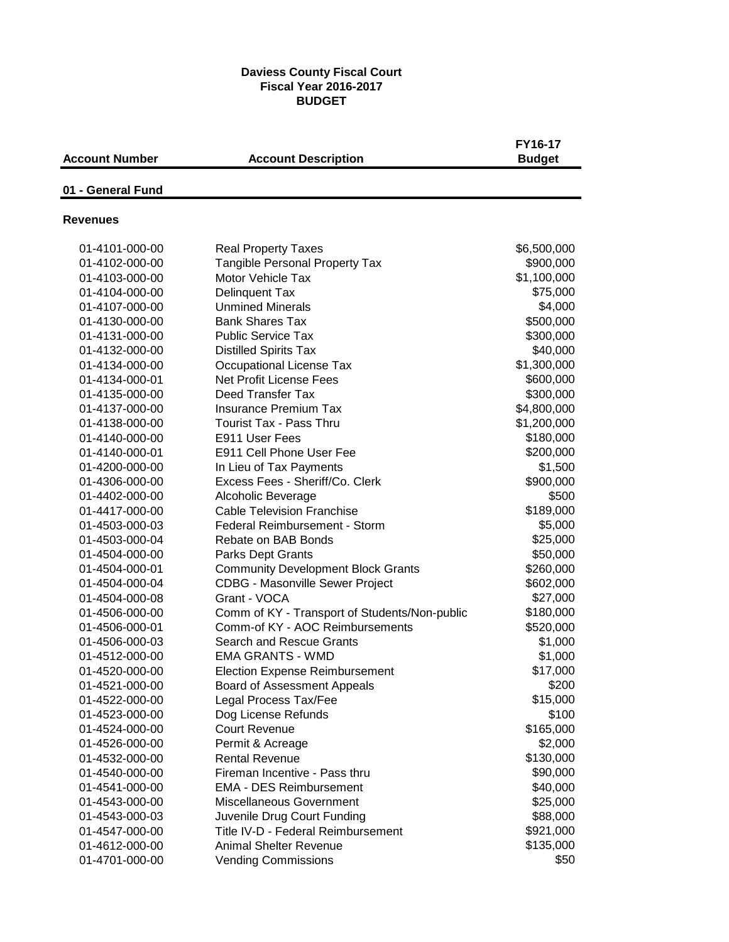#### **Daviess County Fiscal Court Fiscal Year 2016-2017 BUDGET**

| <b>Account Number</b> | <b>Account Description</b>                    | FY16-17<br><b>Budget</b> |
|-----------------------|-----------------------------------------------|--------------------------|
| 01 - General Fund     |                                               |                          |
| <b>Revenues</b>       |                                               |                          |
| 01-4101-000-00        | <b>Real Property Taxes</b>                    | \$6,500,000              |
| 01-4102-000-00        | <b>Tangible Personal Property Tax</b>         | \$900,000                |
| 01-4103-000-00        | Motor Vehicle Tax                             | \$1,100,000              |
| 01-4104-000-00        | Delinquent Tax                                | \$75,000                 |
| 01-4107-000-00        | <b>Unmined Minerals</b>                       | \$4,000                  |
| 01-4130-000-00        | <b>Bank Shares Tax</b>                        | \$500,000                |
| 01-4131-000-00        | <b>Public Service Tax</b>                     | \$300,000                |
| 01-4132-000-00        | <b>Distilled Spirits Tax</b>                  | \$40,000                 |
| 01-4134-000-00        | <b>Occupational License Tax</b>               | \$1,300,000              |
| 01-4134-000-01        | <b>Net Profit License Fees</b>                | \$600,000                |
| 01-4135-000-00        | Deed Transfer Tax                             | \$300,000                |
| 01-4137-000-00        | <b>Insurance Premium Tax</b>                  | \$4,800,000              |
| 01-4138-000-00        | <b>Tourist Tax - Pass Thru</b>                | \$1,200,000              |
| 01-4140-000-00        | E911 User Fees                                | \$180,000                |
| 01-4140-000-01        | E911 Cell Phone User Fee                      | \$200,000                |
| 01-4200-000-00        | In Lieu of Tax Payments                       | \$1,500                  |
| 01-4306-000-00        | Excess Fees - Sheriff/Co. Clerk               | \$900,000                |
| 01-4402-000-00        | Alcoholic Beverage                            | \$500                    |
| 01-4417-000-00        | <b>Cable Television Franchise</b>             | \$189,000                |
| 01-4503-000-03        | Federal Reimbursement - Storm                 | \$5,000                  |
| 01-4503-000-04        | Rebate on BAB Bonds                           | \$25,000                 |
| 01-4504-000-00        | <b>Parks Dept Grants</b>                      | \$50,000                 |
| 01-4504-000-01        | <b>Community Development Block Grants</b>     | \$260,000                |
| 01-4504-000-04        | <b>CDBG - Masonville Sewer Project</b>        | \$602,000                |
| 01-4504-000-08        | Grant - VOCA                                  | \$27,000                 |
| 01-4506-000-00        | Comm of KY - Transport of Students/Non-public | \$180,000                |
| 01-4506-000-01        | Comm-of KY - AOC Reimbursements               | \$520,000                |
| 01-4506-000-03        | Search and Rescue Grants                      | \$1,000                  |
| 01-4512-000-00        | <b>EMA GRANTS - WMD</b>                       | \$1,000                  |
| 01-4520-000-00        | <b>Election Expense Reimbursement</b>         | \$17,000                 |
| 01-4521-000-00        | Board of Assessment Appeals                   | \$200                    |
| 01-4522-000-00        | Legal Process Tax/Fee                         | \$15,000                 |
| 01-4523-000-00        | Dog License Refunds                           | \$100                    |
| 01-4524-000-00        | <b>Court Revenue</b>                          | \$165,000                |
| 01-4526-000-00        | Permit & Acreage                              | \$2,000                  |
| 01-4532-000-00        | <b>Rental Revenue</b>                         | \$130,000                |
| 01-4540-000-00        | Fireman Incentive - Pass thru                 | \$90,000                 |
| 01-4541-000-00        | <b>EMA - DES Reimbursement</b>                | \$40,000                 |
| 01-4543-000-00        | Miscellaneous Government                      | \$25,000                 |
| 01-4543-000-03        | Juvenile Drug Court Funding                   | \$88,000                 |
| 01-4547-000-00        | Title IV-D - Federal Reimbursement            | \$921,000                |
| 01-4612-000-00        | <b>Animal Shelter Revenue</b>                 | \$135,000                |
| 01-4701-000-00        | <b>Vending Commissions</b>                    | \$50                     |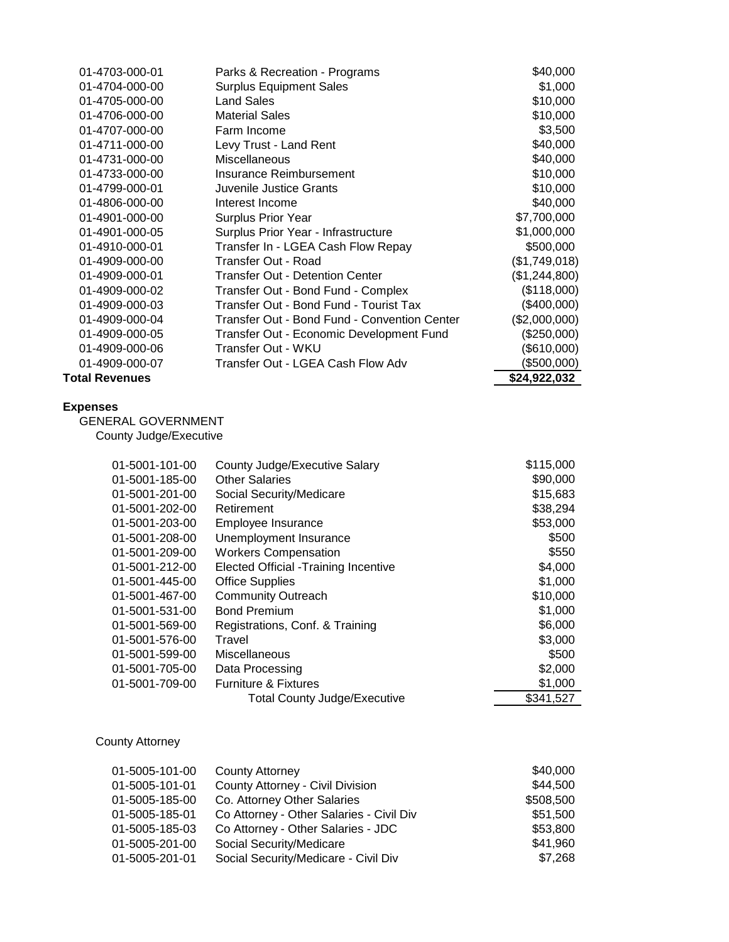| 01-4703-000-01                                                         | Parks & Recreation - Programs                  | \$40,000         |
|------------------------------------------------------------------------|------------------------------------------------|------------------|
| 01-4704-000-00                                                         | <b>Surplus Equipment Sales</b>                 | \$1,000          |
| 01-4705-000-00                                                         | <b>Land Sales</b>                              | \$10,000         |
| 01-4706-000-00                                                         | <b>Material Sales</b>                          | \$10,000         |
| 01-4707-000-00                                                         | Farm Income                                    | \$3,500          |
| 01-4711-000-00                                                         | Levy Trust - Land Rent                         | \$40,000         |
| 01-4731-000-00                                                         | Miscellaneous                                  | \$40,000         |
| 01-4733-000-00                                                         | Insurance Reimbursement                        | \$10,000         |
| 01-4799-000-01                                                         | Juvenile Justice Grants                        | \$10,000         |
| 01-4806-000-00                                                         | Interest Income                                | \$40,000         |
| 01-4901-000-00                                                         | Surplus Prior Year                             | \$7,700,000      |
| 01-4901-000-05                                                         | Surplus Prior Year - Infrastructure            | \$1,000,000      |
| 01-4910-000-01                                                         | Transfer In - LGEA Cash Flow Repay             | \$500,000        |
| 01-4909-000-00                                                         | Transfer Out - Road                            | (\$1,749,018)    |
| 01-4909-000-01                                                         | <b>Transfer Out - Detention Center</b>         | (\$1,244,800)    |
| 01-4909-000-02                                                         | Transfer Out - Bond Fund - Complex             | (\$118,000)      |
| 01-4909-000-03                                                         | Transfer Out - Bond Fund - Tourist Tax         | (\$400,000)      |
| 01-4909-000-04                                                         | Transfer Out - Bond Fund - Convention Center   | (\$2,000,000)    |
| 01-4909-000-05                                                         | Transfer Out - Economic Development Fund       | (\$250,000)      |
| 01-4909-000-06                                                         | Transfer Out - WKU                             | (\$610,000)      |
| 01-4909-000-07                                                         | Transfer Out - LGEA Cash Flow Adv              | (\$500,000)      |
| <b>Total Revenues</b>                                                  |                                                | \$24,922,032     |
| <b>Expenses</b><br><b>GENERAL GOVERNMENT</b><br>County Judge/Executive |                                                |                  |
|                                                                        | $01-5001-101-00$ County Judge Executive Salary | <b>\$115,000</b> |

| 01-5001-101-00 | County Judge/Executive Salary               | \$115,000 |
|----------------|---------------------------------------------|-----------|
| 01-5001-185-00 | <b>Other Salaries</b>                       | \$90,000  |
| 01-5001-201-00 | Social Security/Medicare                    | \$15,683  |
| 01-5001-202-00 | Retirement                                  | \$38,294  |
| 01-5001-203-00 | Employee Insurance                          | \$53,000  |
| 01-5001-208-00 | Unemployment Insurance                      | \$500     |
| 01-5001-209-00 | <b>Workers Compensation</b>                 | \$550     |
| 01-5001-212-00 | <b>Elected Official -Training Incentive</b> | \$4,000   |
| 01-5001-445-00 | <b>Office Supplies</b>                      | \$1,000   |
| 01-5001-467-00 | <b>Community Outreach</b>                   | \$10,000  |
| 01-5001-531-00 | <b>Bond Premium</b>                         | \$1,000   |
| 01-5001-569-00 | Registrations, Conf. & Training             | \$6,000   |
| 01-5001-576-00 | Travel                                      | \$3,000   |
| 01-5001-599-00 | Miscellaneous                               | \$500     |
| 01-5001-705-00 | Data Processing                             | \$2,000   |
| 01-5001-709-00 | <b>Furniture &amp; Fixtures</b>             | \$1,000   |
|                | <b>Total County Judge/Executive</b>         | \$341,527 |

County Attorney

| 01-5005-101-00 | <b>County Attorney</b>                   | \$40,000  |
|----------------|------------------------------------------|-----------|
| 01-5005-101-01 | County Attorney - Civil Division         | \$44,500  |
| 01-5005-185-00 | Co. Attorney Other Salaries              | \$508,500 |
| 01-5005-185-01 | Co Attorney - Other Salaries - Civil Div | \$51,500  |
| 01-5005-185-03 | Co Attorney - Other Salaries - JDC       | \$53,800  |
| 01-5005-201-00 | Social Security/Medicare                 | \$41,960  |
| 01-5005-201-01 | Social Security/Medicare - Civil Div     | \$7,268   |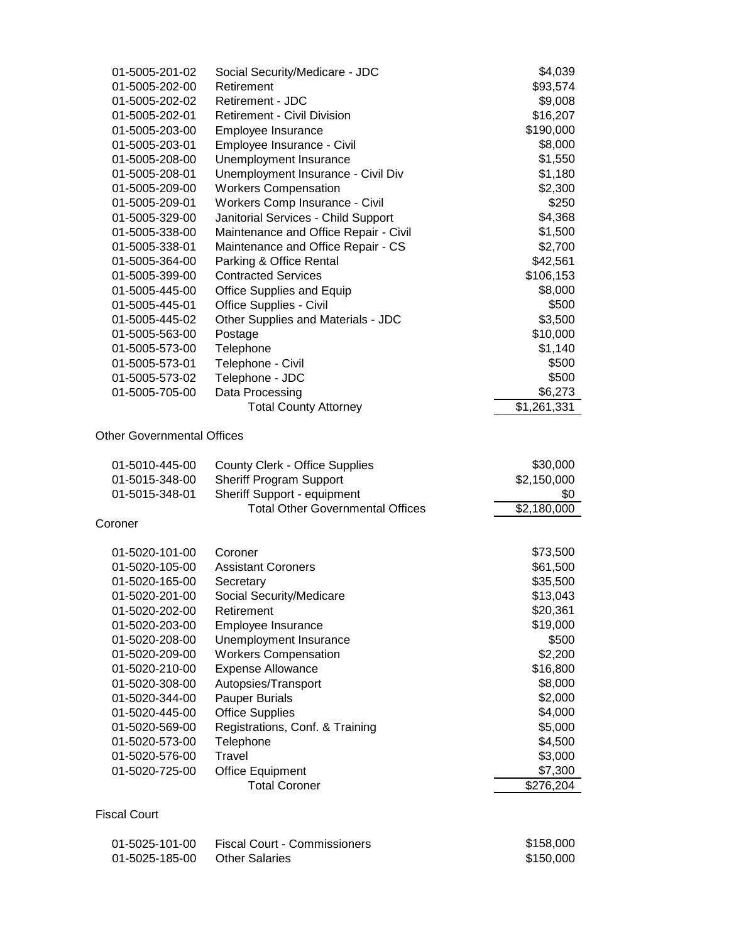| 01-5005-201-02                   | Social Security/Medicare - JDC                                   | \$4,039                 |
|----------------------------------|------------------------------------------------------------------|-------------------------|
| 01-5005-202-00                   | Retirement                                                       | \$93,574                |
| 01-5005-202-02                   | Retirement - JDC                                                 | \$9,008                 |
| 01-5005-202-01                   | <b>Retirement - Civil Division</b>                               | \$16,207                |
| 01-5005-203-00                   | Employee Insurance                                               | \$190,000               |
| 01-5005-203-01                   | Employee Insurance - Civil                                       | \$8,000                 |
| 01-5005-208-00                   | Unemployment Insurance                                           | \$1,550                 |
| 01-5005-208-01                   | Unemployment Insurance - Civil Div                               | \$1,180                 |
| 01-5005-209-00                   | <b>Workers Compensation</b>                                      | \$2,300                 |
| 01-5005-209-01                   | Workers Comp Insurance - Civil                                   | \$250                   |
| 01-5005-329-00                   | Janitorial Services - Child Support                              | \$4,368                 |
| 01-5005-338-00                   | Maintenance and Office Repair - Civil                            | \$1,500                 |
| 01-5005-338-01                   | Maintenance and Office Repair - CS                               | \$2,700                 |
| 01-5005-364-00                   | Parking & Office Rental                                          | \$42,561                |
| 01-5005-399-00                   | <b>Contracted Services</b>                                       | \$106,153               |
| 01-5005-445-00                   | <b>Office Supplies and Equip</b>                                 | \$8,000                 |
| 01-5005-445-01                   | Office Supplies - Civil                                          | \$500                   |
| 01-5005-445-02                   | Other Supplies and Materials - JDC                               | \$3,500                 |
| 01-5005-563-00                   | Postage                                                          | \$10,000                |
| 01-5005-573-00                   | Telephone                                                        | \$1,140                 |
| 01-5005-573-01                   | Telephone - Civil                                                | \$500                   |
| 01-5005-573-02                   | Telephone - JDC                                                  | \$500                   |
| 01-5005-705-00                   | Data Processing                                                  | \$6,273                 |
|                                  | <b>Total County Attorney</b>                                     | \$1,261,331             |
| 01-5010-445-00<br>01-5015-348-00 | <b>County Clerk - Office Supplies</b><br>Sheriff Program Support | \$30,000<br>\$2,150,000 |
| 01-5015-348-01                   | Sheriff Support - equipment                                      | \$0                     |
| Coroner                          | <b>Total Other Governmental Offices</b>                          | \$2,180,000             |
|                                  |                                                                  |                         |
| 01-5020-101-00                   | Coroner                                                          | \$73,500                |
| 01-5020-105-00                   | <b>Assistant Coroners</b>                                        | \$61,500                |
| 01-5020-165-00                   | Secretary                                                        | \$35,500                |
| 01-5020-201-00                   | Social Security/Medicare                                         | \$13,043                |
| 01-5020-202-00                   | Retirement                                                       | \$20,361                |
| 01-5020-203-00                   | Employee Insurance                                               | \$19,000                |
| 01-5020-208-00                   | Unemployment Insurance                                           | \$500                   |
| 01-5020-209-00                   | <b>Workers Compensation</b>                                      | \$2,200                 |
| 01-5020-210-00                   | <b>Expense Allowance</b>                                         | \$16,800                |
| 01-5020-308-00                   | Autopsies/Transport                                              | \$8,000                 |
| 01-5020-344-00                   | <b>Pauper Burials</b>                                            | \$2,000                 |
| 01-5020-445-00                   | <b>Office Supplies</b>                                           | \$4,000                 |
| 01-5020-569-00                   | Registrations, Conf. & Training<br>Telephone                     | \$5,000                 |
| 01-5020-573-00<br>01-5020-576-00 | Travel                                                           | \$4,500<br>\$3,000      |
| 01-5020-725-00                   | <b>Office Equipment</b>                                          | \$7,300                 |
|                                  | <b>Total Coroner</b>                                             | \$276,204               |
|                                  |                                                                  |                         |
| <b>Fiscal Court</b>              |                                                                  |                         |
| 01-5025-101-00                   | <b>Fiscal Court - Commissioners</b>                              | \$158,000               |
| 01-5025-185-00                   | <b>Other Salaries</b>                                            | \$150,000               |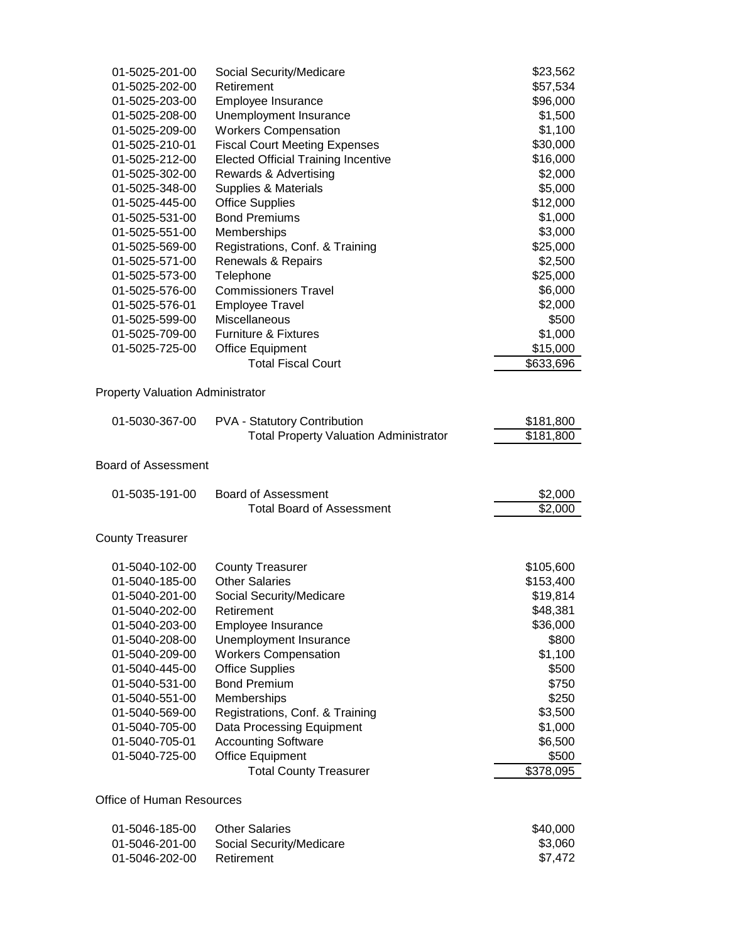| 01-5025-201-00                                                                                                     | Social Security/Medicare                                                             | \$23,562               |
|--------------------------------------------------------------------------------------------------------------------|--------------------------------------------------------------------------------------|------------------------|
| 01-5025-202-00                                                                                                     | Retirement                                                                           | \$57,534               |
| 01-5025-203-00                                                                                                     | Employee Insurance                                                                   | \$96,000               |
| 01-5025-208-00                                                                                                     | Unemployment Insurance                                                               | \$1,500                |
| 01-5025-209-00                                                                                                     | <b>Workers Compensation</b>                                                          | \$1,100                |
| 01-5025-210-01                                                                                                     | <b>Fiscal Court Meeting Expenses</b>                                                 | \$30,000               |
| 01-5025-212-00                                                                                                     | <b>Elected Official Training Incentive</b>                                           | \$16,000               |
| 01-5025-302-00                                                                                                     | Rewards & Advertising                                                                | \$2,000                |
| 01-5025-348-00                                                                                                     | <b>Supplies &amp; Materials</b>                                                      | \$5,000                |
| 01-5025-445-00                                                                                                     | <b>Office Supplies</b>                                                               | \$12,000               |
| 01-5025-531-00                                                                                                     | <b>Bond Premiums</b>                                                                 | \$1,000                |
| 01-5025-551-00                                                                                                     | Memberships                                                                          | \$3,000                |
| 01-5025-569-00                                                                                                     | Registrations, Conf. & Training                                                      | \$25,000               |
| 01-5025-571-00                                                                                                     | Renewals & Repairs                                                                   | \$2,500                |
| 01-5025-573-00                                                                                                     | Telephone                                                                            | \$25,000               |
| 01-5025-576-00                                                                                                     | <b>Commissioners Travel</b>                                                          | \$6,000                |
| 01-5025-576-01                                                                                                     | <b>Employee Travel</b>                                                               | \$2,000                |
| 01-5025-599-00                                                                                                     | Miscellaneous                                                                        | \$500                  |
| 01-5025-709-00                                                                                                     | <b>Furniture &amp; Fixtures</b>                                                      | \$1,000                |
| 01-5025-725-00                                                                                                     | <b>Office Equipment</b>                                                              | \$15,000               |
|                                                                                                                    | <b>Total Fiscal Court</b>                                                            | \$633,696              |
|                                                                                                                    |                                                                                      |                        |
| 01-5030-367-00                                                                                                     | <b>PVA - Statutory Contribution</b><br><b>Total Property Valuation Administrator</b> | \$181,800<br>\$181,800 |
|                                                                                                                    |                                                                                      |                        |
| 01-5035-191-00                                                                                                     | <b>Board of Assessment</b>                                                           |                        |
|                                                                                                                    | <b>Total Board of Assessment</b>                                                     | \$2,000<br>\$2,000     |
|                                                                                                                    |                                                                                      |                        |
| 01-5040-102-00                                                                                                     | <b>County Treasurer</b>                                                              | \$105,600              |
| 01-5040-185-00                                                                                                     | <b>Other Salaries</b>                                                                | \$153,400              |
| 01-5040-201-00                                                                                                     | Social Security/Medicare                                                             | \$19,814               |
| 01-5040-202-00                                                                                                     | Retirement                                                                           | \$48,381               |
| 01-5040-203-00                                                                                                     | Employee Insurance                                                                   | \$36,000               |
| 01-5040-208-00                                                                                                     | Unemployment Insurance                                                               | \$800                  |
| 01-5040-209-00                                                                                                     | <b>Workers Compensation</b>                                                          | \$1,100                |
| 01-5040-445-00                                                                                                     | <b>Office Supplies</b>                                                               | \$500                  |
| 01-5040-531-00                                                                                                     | <b>Bond Premium</b>                                                                  | \$750                  |
| 01-5040-551-00                                                                                                     | Memberships                                                                          | \$250                  |
| 01-5040-569-00                                                                                                     | Registrations, Conf. & Training                                                      | \$3,500                |
| 01-5040-705-00                                                                                                     | Data Processing Equipment                                                            | \$1,000                |
| 01-5040-705-01                                                                                                     | <b>Accounting Software</b>                                                           | \$6,500                |
| <b>Property Valuation Administrator</b><br><b>Board of Assessment</b><br><b>County Treasurer</b><br>01-5040-725-00 | <b>Office Equipment</b>                                                              | \$500                  |

01-5046-185-00 Other Salaries \$40,000<br>
01-5046-201-00 Social Security/Medicare \$3,060<br>
01-5046-202-00 Retirement \$7,472 Social Security/Medicare<br>Retirement 01-5046-202-00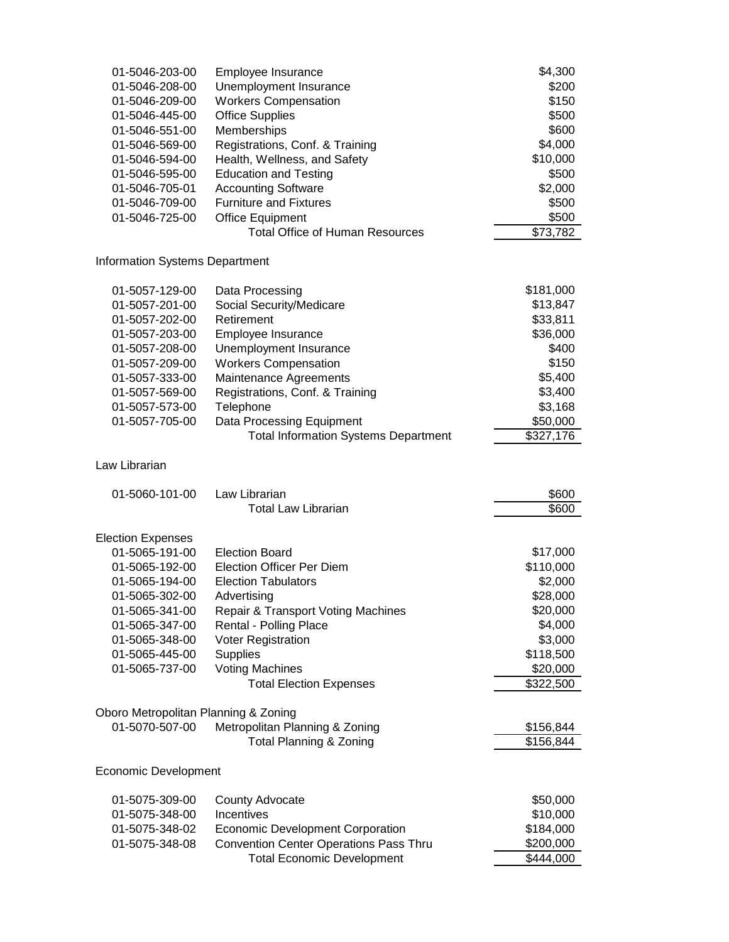| 01-5046-203-00                        | Employee Insurance                            | \$4,300              |
|---------------------------------------|-----------------------------------------------|----------------------|
| 01-5046-208-00                        | Unemployment Insurance                        | \$200                |
| 01-5046-209-00                        | <b>Workers Compensation</b>                   | \$150                |
| 01-5046-445-00                        | <b>Office Supplies</b>                        | \$500                |
| 01-5046-551-00                        | Memberships                                   | \$600                |
| 01-5046-569-00                        | Registrations, Conf. & Training               | \$4,000              |
| 01-5046-594-00                        | Health, Wellness, and Safety                  | \$10,000             |
| 01-5046-595-00                        | <b>Education and Testing</b>                  | \$500                |
| 01-5046-705-01                        | <b>Accounting Software</b>                    | \$2,000              |
| 01-5046-709-00                        | <b>Furniture and Fixtures</b>                 | \$500                |
| 01-5046-725-00                        | <b>Office Equipment</b>                       | \$500                |
|                                       | <b>Total Office of Human Resources</b>        | $\overline{$}73,782$ |
| <b>Information Systems Department</b> |                                               |                      |
| 01-5057-129-00                        | Data Processing                               | \$181,000            |
| 01-5057-201-00                        | Social Security/Medicare                      | \$13,847             |
| 01-5057-202-00                        | Retirement                                    | \$33,811             |
| 01-5057-203-00                        | Employee Insurance                            | \$36,000             |
| 01-5057-208-00                        | Unemployment Insurance                        | \$400                |
| 01-5057-209-00                        | <b>Workers Compensation</b>                   | \$150                |
| 01-5057-333-00                        | Maintenance Agreements                        | \$5,400              |
| 01-5057-569-00                        | Registrations, Conf. & Training               | \$3,400              |
| 01-5057-573-00                        | Telephone                                     | \$3,168              |
| 01-5057-705-00                        | Data Processing Equipment                     | \$50,000             |
|                                       | <b>Total Information Systems Department</b>   | \$327,176            |
| Law Librarian                         |                                               |                      |
| 01-5060-101-00                        | Law Librarian                                 | \$600                |
|                                       | <b>Total Law Librarian</b>                    | \$600                |
| <b>Election Expenses</b>              |                                               |                      |
| 01-5065-191-00                        | <b>Election Board</b>                         | \$17,000             |
| 01-5065-192-00                        | <b>Election Officer Per Diem</b>              | \$110,000            |
| 01-5065-194-00                        | <b>Election Tabulators</b>                    | \$2,000              |
| 01-5065-302-00                        | Advertising                                   | \$28,000             |
| 01-5065-341-00                        | <b>Repair &amp; Transport Voting Machines</b> | \$20,000             |
| 01-5065-347-00                        | Rental - Polling Place                        | \$4,000              |
| 01-5065-348-00                        | Voter Registration                            | \$3,000              |
| 01-5065-445-00                        | <b>Supplies</b>                               | \$118,500            |
| 01-5065-737-00                        | <b>Voting Machines</b>                        | \$20,000             |
|                                       | <b>Total Election Expenses</b>                | \$322,500            |
| Oboro Metropolitan Planning & Zoning  |                                               |                      |
| 01-5070-507-00                        | Metropolitan Planning & Zoning                | \$156,844            |
|                                       | <b>Total Planning &amp; Zoning</b>            | \$156,844            |
| <b>Economic Development</b>           |                                               |                      |
| 01-5075-309-00                        | County Advocate                               | \$50,000             |
| 01-5075-348-00                        | Incentives                                    | \$10,000             |
| 01-5075-348-02                        | <b>Economic Development Corporation</b>       | \$184,000            |
| 01-5075-348-08                        | <b>Convention Center Operations Pass Thru</b> | \$200,000            |
|                                       | <b>Total Economic Development</b>             | \$444,000            |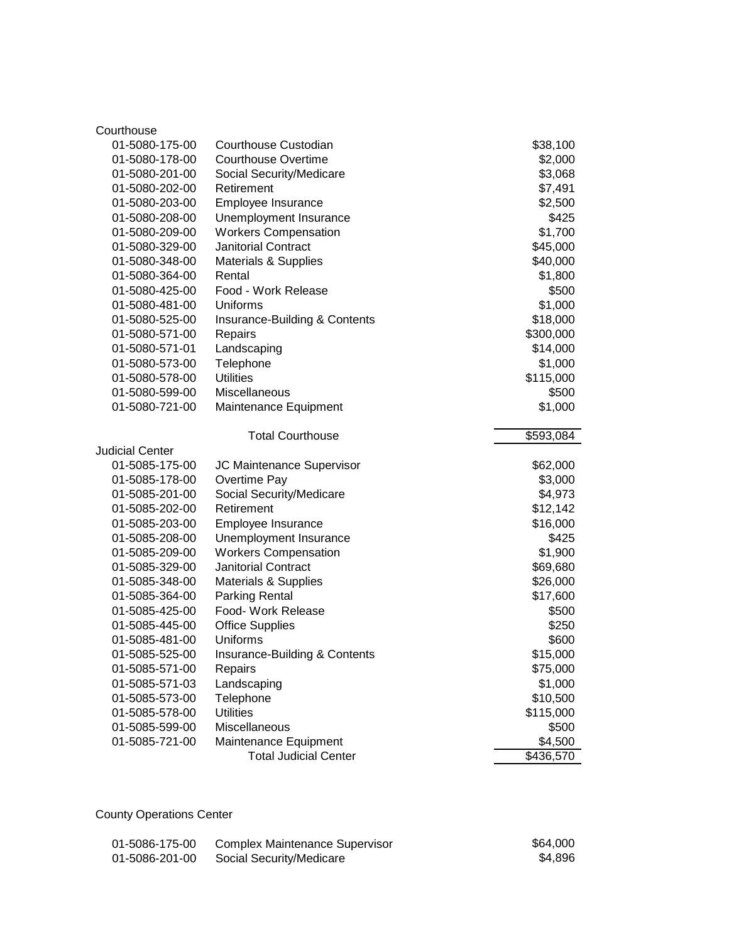| Courthouse             |                                                       |                      |
|------------------------|-------------------------------------------------------|----------------------|
| 01-5080-175-00         | Courthouse Custodian                                  | \$38,100             |
| 01-5080-178-00         | <b>Courthouse Overtime</b>                            | \$2,000              |
| 01-5080-201-00         | Social Security/Medicare                              | \$3,068              |
| 01-5080-202-00         | Retirement                                            | \$7,491              |
| 01-5080-203-00         | Employee Insurance                                    | \$2,500              |
| 01-5080-208-00         | Unemployment Insurance                                | \$425                |
| 01-5080-209-00         | <b>Workers Compensation</b>                           | \$1,700              |
| 01-5080-329-00         | Janitorial Contract                                   | \$45,000             |
| 01-5080-348-00         | Materials & Supplies                                  | \$40,000             |
| 01-5080-364-00         | Rental                                                | \$1,800              |
| 01-5080-425-00         | Food - Work Release                                   | \$500                |
| 01-5080-481-00         | Uniforms                                              | \$1,000              |
| 01-5080-525-00         | Insurance-Building & Contents                         | \$18,000             |
| 01-5080-571-00         | Repairs                                               | \$300,000            |
| 01-5080-571-01         | Landscaping                                           | \$14,000             |
| 01-5080-573-00         | Telephone                                             | \$1,000              |
| 01-5080-578-00         | <b>Utilities</b>                                      | \$115,000            |
| 01-5080-599-00         | Miscellaneous                                         | \$500                |
| 01-5080-721-00         | Maintenance Equipment                                 | \$1,000              |
|                        | <b>Total Courthouse</b>                               | \$593,084            |
| <b>Judicial Center</b> |                                                       |                      |
| 01-5085-175-00         | JC Maintenance Supervisor                             | \$62,000             |
| 01-5085-178-00         | Overtime Pay                                          | \$3,000              |
| 01-5085-201-00         | Social Security/Medicare                              | \$4,973              |
| 01-5085-202-00         | Retirement                                            | \$12,142             |
| 01-5085-203-00         | Employee Insurance                                    |                      |
|                        |                                                       | \$16,000             |
| 01-5085-208-00         | Unemployment Insurance                                | \$425                |
| 01-5085-209-00         | <b>Workers Compensation</b>                           | \$1,900              |
| 01-5085-329-00         | <b>Janitorial Contract</b>                            | \$69,680             |
| 01-5085-348-00         | <b>Materials &amp; Supplies</b>                       | \$26,000             |
| 01-5085-364-00         | <b>Parking Rental</b>                                 | \$17,600             |
| 01-5085-425-00         | Food- Work Release                                    | \$500                |
| 01-5085-445-00         | <b>Office Supplies</b>                                | \$250                |
| 01-5085-481-00         | Uniforms                                              | \$600                |
| 01-5085-525-00         | Insurance-Building & Contents                         | \$15,000             |
| 01-5085-571-00         | Repairs                                               | \$75,000             |
| 01-5085-571-03         | Landscaping                                           | \$1,000              |
| 01-5085-573-00         | Telephone                                             | \$10,500             |
| 01-5085-578-00         | <b>Utilities</b>                                      | \$115,000            |
| 01-5085-599-00         | Miscellaneous                                         | \$500                |
| 01-5085-721-00         | Maintenance Equipment<br><b>Total Judicial Center</b> | \$4,500<br>\$436,570 |

# County Operations Center

| 01-5086-175-00 | Complex Maintenance Supervisor | \$64,000 |
|----------------|--------------------------------|----------|
| 01-5086-201-00 | Social Security/Medicare       | \$4.896  |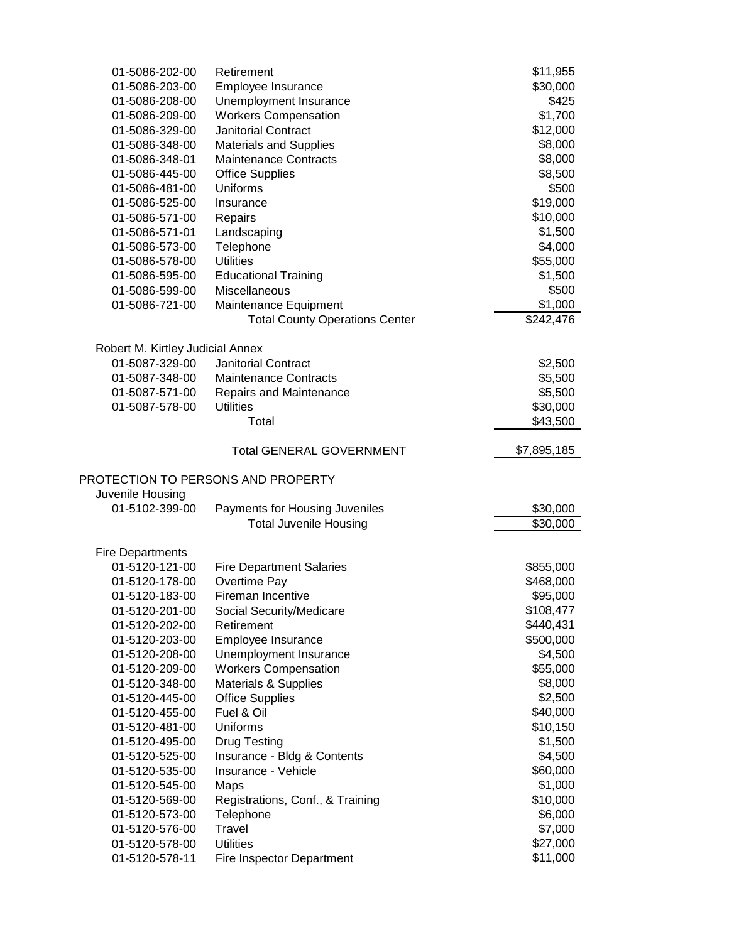| 01-5086-202-00                   | Retirement                            | \$11,955              |
|----------------------------------|---------------------------------------|-----------------------|
| 01-5086-203-00                   | Employee Insurance                    | \$30,000              |
| 01-5086-208-00                   | Unemployment Insurance                | \$425                 |
| 01-5086-209-00                   | <b>Workers Compensation</b>           | \$1,700               |
| 01-5086-329-00                   | <b>Janitorial Contract</b>            | \$12,000              |
| 01-5086-348-00                   | <b>Materials and Supplies</b>         | \$8,000               |
| 01-5086-348-01                   | <b>Maintenance Contracts</b>          | \$8,000               |
| 01-5086-445-00                   | <b>Office Supplies</b>                | \$8,500               |
| 01-5086-481-00                   | Uniforms                              | \$500                 |
| 01-5086-525-00                   | Insurance                             | \$19,000              |
| 01-5086-571-00                   | Repairs                               | \$10,000              |
| 01-5086-571-01                   | Landscaping                           | \$1,500               |
| 01-5086-573-00                   | Telephone                             | \$4,000               |
| 01-5086-578-00                   | <b>Utilities</b>                      | \$55,000              |
| 01-5086-595-00                   | <b>Educational Training</b>           | \$1,500               |
| 01-5086-599-00                   | Miscellaneous                         | \$500                 |
| 01-5086-721-00                   | Maintenance Equipment                 | \$1,000               |
|                                  | <b>Total County Operations Center</b> | $\overline{$}242,476$ |
|                                  |                                       |                       |
| Robert M. Kirtley Judicial Annex |                                       |                       |
| 01-5087-329-00                   | <b>Janitorial Contract</b>            | \$2,500               |
| 01-5087-348-00                   | <b>Maintenance Contracts</b>          | \$5,500               |
| 01-5087-571-00                   | Repairs and Maintenance               | \$5,500               |
| 01-5087-578-00                   | <b>Utilities</b>                      | \$30,000              |
|                                  | Total                                 | \$43,500              |
|                                  |                                       |                       |
|                                  | <b>Total GENERAL GOVERNMENT</b>       | \$7,895,185           |
|                                  |                                       |                       |
|                                  |                                       |                       |
|                                  | PROTECTION TO PERSONS AND PROPERTY    |                       |
| Juvenile Housing                 |                                       |                       |
| 01-5102-399-00                   | Payments for Housing Juveniles        | \$30,000              |
|                                  | <b>Total Juvenile Housing</b>         | \$30,000              |
|                                  |                                       |                       |
| <b>Fire Departments</b>          |                                       |                       |
| 01-5120-121-00                   | <b>Fire Department Salaries</b>       | \$855,000             |
| 01-5120-178-00                   | Overtime Pay                          | \$468,000             |
| 01-5120-183-00                   | Fireman Incentive                     | \$95,000              |
| 01-5120-201-00                   | Social Security/Medicare              | \$108,477             |
| 01-5120-202-00                   | Retirement                            | \$440,431             |
| 01-5120-203-00                   | Employee Insurance                    | \$500,000             |
| 01-5120-208-00                   | Unemployment Insurance                | \$4,500               |
| 01-5120-209-00                   | <b>Workers Compensation</b>           | \$55,000              |
| 01-5120-348-00                   | Materials & Supplies                  | \$8,000               |
| 01-5120-445-00                   | <b>Office Supplies</b>                | \$2,500               |
| 01-5120-455-00                   | Fuel & Oil                            | \$40,000              |
| 01-5120-481-00                   | Uniforms                              | \$10,150              |
| 01-5120-495-00                   | <b>Drug Testing</b>                   | \$1,500               |
| 01-5120-525-00                   | Insurance - Bldg & Contents           | \$4,500               |
| 01-5120-535-00                   | Insurance - Vehicle                   | \$60,000              |
| 01-5120-545-00                   | Maps                                  | \$1,000               |
| 01-5120-569-00                   | Registrations, Conf., & Training      | \$10,000              |
| 01-5120-573-00                   | Telephone                             | \$6,000               |
| 01-5120-576-00                   | Travel                                | \$7,000               |
| 01-5120-578-00                   | <b>Utilities</b>                      | \$27,000<br>\$11,000  |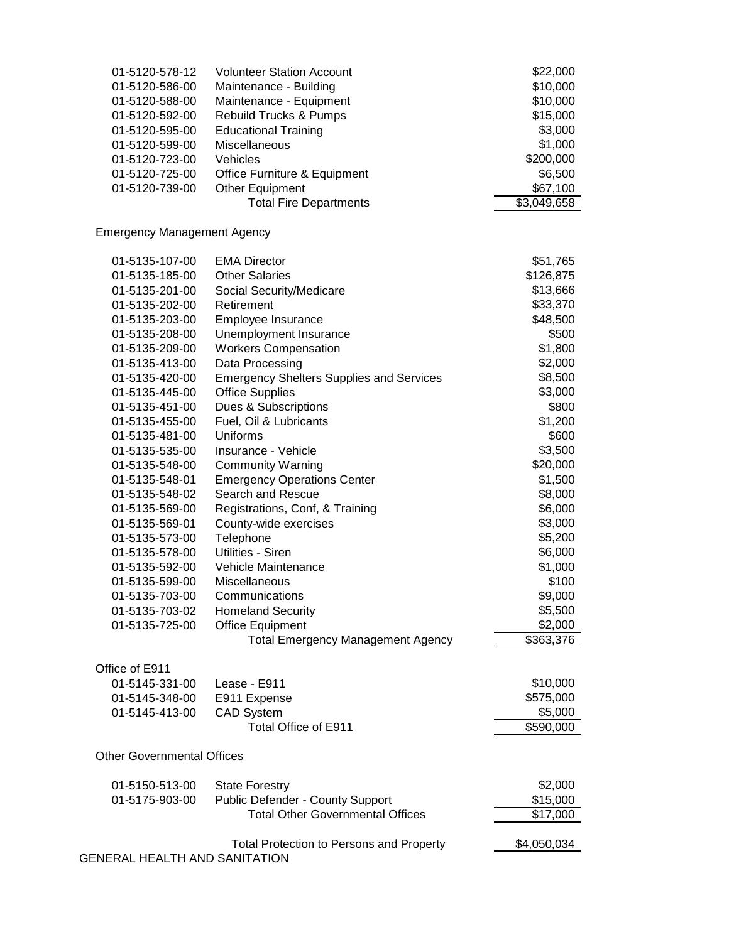| 01-5120-578-12                     | <b>Volunteer Station Account</b>                | \$22,000    |
|------------------------------------|-------------------------------------------------|-------------|
| 01-5120-586-00                     | Maintenance - Building                          | \$10,000    |
| 01-5120-588-00                     | Maintenance - Equipment                         | \$10,000    |
| 01-5120-592-00                     | <b>Rebuild Trucks &amp; Pumps</b>               | \$15,000    |
| 01-5120-595-00                     | <b>Educational Training</b>                     | \$3,000     |
| 01-5120-599-00                     | Miscellaneous                                   | \$1,000     |
| 01-5120-723-00                     | Vehicles                                        | \$200,000   |
| 01-5120-725-00                     | Office Furniture & Equipment                    | \$6,500     |
| 01-5120-739-00                     | <b>Other Equipment</b>                          | \$67,100    |
|                                    | <b>Total Fire Departments</b>                   | \$3,049,658 |
|                                    |                                                 |             |
| <b>Emergency Management Agency</b> |                                                 |             |
| 01-5135-107-00                     | <b>EMA Director</b>                             | \$51,765    |
| 01-5135-185-00                     | <b>Other Salaries</b>                           | \$126,875   |
| 01-5135-201-00                     | Social Security/Medicare                        | \$13,666    |
| 01-5135-202-00                     | Retirement                                      | \$33,370    |
| 01-5135-203-00                     | Employee Insurance                              | \$48,500    |
| 01-5135-208-00                     | Unemployment Insurance                          | \$500       |
| 01-5135-209-00                     | <b>Workers Compensation</b>                     | \$1,800     |
|                                    |                                                 | \$2,000     |
| 01-5135-413-00                     | Data Processing                                 |             |
| 01-5135-420-00                     | <b>Emergency Shelters Supplies and Services</b> | \$8,500     |
| 01-5135-445-00                     | <b>Office Supplies</b>                          | \$3,000     |
| 01-5135-451-00                     | Dues & Subscriptions                            | \$800       |
| 01-5135-455-00                     | Fuel, Oil & Lubricants                          | \$1,200     |
| 01-5135-481-00                     | Uniforms                                        | \$600       |
| 01-5135-535-00                     | Insurance - Vehicle                             | \$3,500     |
| 01-5135-548-00                     | <b>Community Warning</b>                        | \$20,000    |
| 01-5135-548-01                     | <b>Emergency Operations Center</b>              | \$1,500     |
| 01-5135-548-02                     | Search and Rescue                               | \$8,000     |
| 01-5135-569-00                     | Registrations, Conf, & Training                 | \$6,000     |
| 01-5135-569-01                     | County-wide exercises                           | \$3,000     |
| 01-5135-573-00                     | Telephone                                       | \$5,200     |
| 01-5135-578-00                     | Utilities - Siren                               | \$6,000     |
| 01-5135-592-00                     | Vehicle Maintenance                             | \$1,000     |
| 01-5135-599-00                     | Miscellaneous                                   | \$100       |
| 01-5135-703-00                     | Communications                                  | \$9,000     |
| 01-5135-703-02                     | <b>Homeland Security</b>                        | \$5,500     |
| 01-5135-725-00                     | <b>Office Equipment</b>                         | \$2,000     |
|                                    | <b>Total Emergency Management Agency</b>        | \$363,376   |
| Office of E911                     |                                                 |             |
| 01-5145-331-00                     | Lease - E911                                    | \$10,000    |
| 01-5145-348-00                     | E911 Expense                                    | \$575,000   |
| 01-5145-413-00                     | <b>CAD System</b>                               | \$5,000     |
|                                    | Total Office of E911                            | \$590,000   |
| <b>Other Governmental Offices</b>  |                                                 |             |
| 01-5150-513-00                     | <b>State Forestry</b>                           | \$2,000     |
| 01-5175-903-00                     | Public Defender - County Support                | \$15,000    |
|                                    | <b>Total Other Governmental Offices</b>         | \$17,000    |
|                                    |                                                 |             |
| GENERAL HEALTH AND SANITATION      | <b>Total Protection to Persons and Property</b> | \$4,050,034 |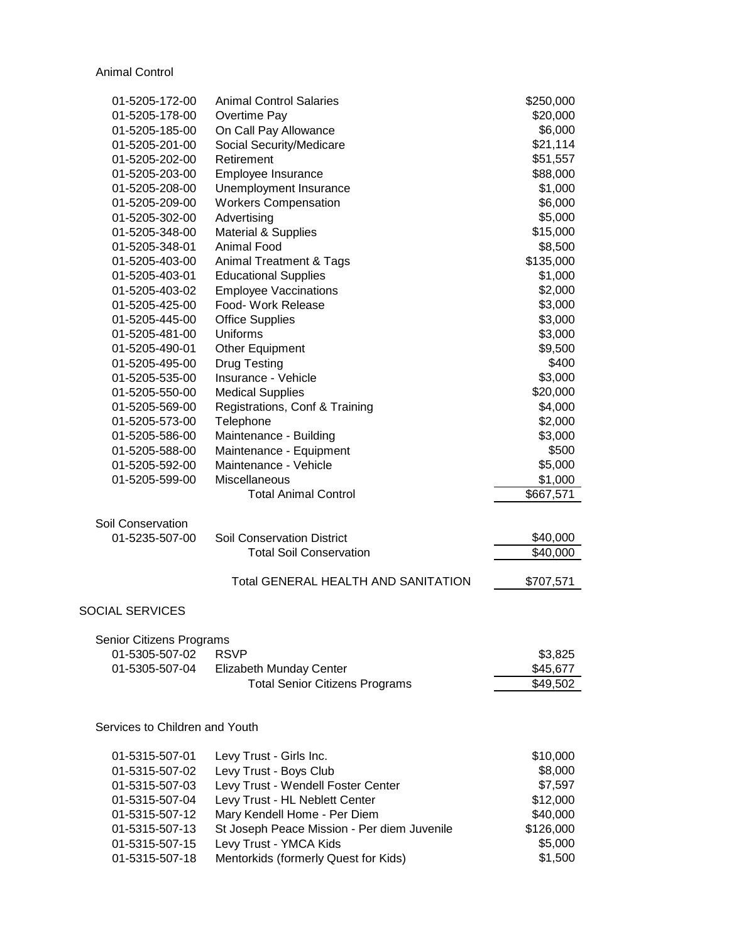Animal Control

| 01-5205-172-00                 | <b>Animal Control Salaries</b>              | \$250,000 |
|--------------------------------|---------------------------------------------|-----------|
| 01-5205-178-00                 | Overtime Pay                                | \$20,000  |
| 01-5205-185-00                 | On Call Pay Allowance                       | \$6,000   |
| 01-5205-201-00                 | Social Security/Medicare                    | \$21,114  |
| 01-5205-202-00                 | Retirement                                  | \$51,557  |
| 01-5205-203-00                 | Employee Insurance                          | \$88,000  |
| 01-5205-208-00                 | Unemployment Insurance                      | \$1,000   |
| 01-5205-209-00                 | <b>Workers Compensation</b>                 | \$6,000   |
| 01-5205-302-00                 | Advertising                                 | \$5,000   |
| 01-5205-348-00                 | Material & Supplies                         | \$15,000  |
| 01-5205-348-01                 | <b>Animal Food</b>                          | \$8,500   |
| 01-5205-403-00                 | <b>Animal Treatment &amp; Tags</b>          | \$135,000 |
| 01-5205-403-01                 | <b>Educational Supplies</b>                 | \$1,000   |
| 01-5205-403-02                 | <b>Employee Vaccinations</b>                | \$2,000   |
| 01-5205-425-00                 | Food- Work Release                          | \$3,000   |
| 01-5205-445-00                 | <b>Office Supplies</b>                      | \$3,000   |
| 01-5205-481-00                 | <b>Uniforms</b>                             | \$3,000   |
| 01-5205-490-01                 | Other Equipment                             | \$9,500   |
| 01-5205-495-00                 | <b>Drug Testing</b>                         | \$400     |
| 01-5205-535-00                 | Insurance - Vehicle                         | \$3,000   |
| 01-5205-550-00                 | <b>Medical Supplies</b>                     | \$20,000  |
| 01-5205-569-00                 | Registrations, Conf & Training              | \$4,000   |
| 01-5205-573-00                 |                                             | \$2,000   |
|                                | Telephone                                   | \$3,000   |
| 01-5205-586-00                 | Maintenance - Building                      | \$500     |
| 01-5205-588-00                 | Maintenance - Equipment                     |           |
| 01-5205-592-00                 | Maintenance - Vehicle                       | \$5,000   |
| 01-5205-599-00                 | Miscellaneous                               | \$1,000   |
|                                | <b>Total Animal Control</b>                 | \$667,571 |
| Soil Conservation              |                                             |           |
| 01-5235-507-00                 | <b>Soil Conservation District</b>           | \$40,000  |
|                                | <b>Total Soil Conservation</b>              | \$40,000  |
|                                |                                             |           |
|                                | <b>Total GENERAL HEALTH AND SANITATION</b>  | \$707,571 |
| <b>SOCIAL SERVICES</b>         |                                             |           |
|                                |                                             |           |
| Senior Citizens Programs       |                                             |           |
| 01-5305-507-02                 | <b>RSVP</b>                                 | \$3,825   |
| 01-5305-507-04                 | Elizabeth Munday Center                     | \$45,677  |
|                                | <b>Total Senior Citizens Programs</b>       | \$49,502  |
|                                |                                             |           |
| Services to Children and Youth |                                             |           |
|                                |                                             |           |
| 01-5315-507-01                 | Levy Trust - Girls Inc.                     | \$10,000  |
| 01-5315-507-02                 | Levy Trust - Boys Club                      | \$8,000   |
| 01-5315-507-03                 | Levy Trust - Wendell Foster Center          | \$7,597   |
| 01-5315-507-04                 | Levy Trust - HL Neblett Center              | \$12,000  |
| 01-5315-507-12                 | Mary Kendell Home - Per Diem                | \$40,000  |
| 01-5315-507-13                 | St Joseph Peace Mission - Per diem Juvenile | \$126,000 |
| 01-5315-507-15                 | Levy Trust - YMCA Kids                      | \$5,000   |
| 01-5315-507-18                 | Mentorkids (formerly Quest for Kids)        | \$1,500   |
|                                |                                             |           |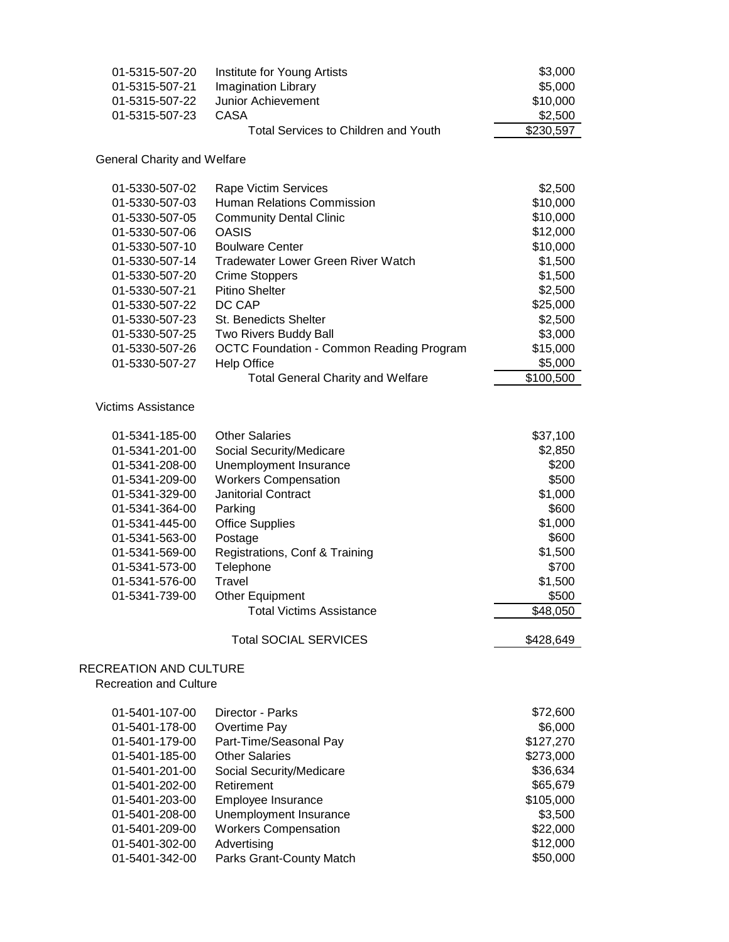| 01-5315-507-20<br>01-5315-507-21<br>01-5315-507-22<br>01-5315-507-23                                                                                                                                                 | Institute for Young Artists<br><b>Imagination Library</b><br><b>Junior Achievement</b><br><b>CASA</b><br><b>Total Services to Children and Youth</b>                                                                                                                                                                                                       | \$3,000<br>\$5,000<br>\$10,000<br>\$2,500<br>\$230,597                                                                                 |
|----------------------------------------------------------------------------------------------------------------------------------------------------------------------------------------------------------------------|------------------------------------------------------------------------------------------------------------------------------------------------------------------------------------------------------------------------------------------------------------------------------------------------------------------------------------------------------------|----------------------------------------------------------------------------------------------------------------------------------------|
| <b>General Charity and Welfare</b>                                                                                                                                                                                   |                                                                                                                                                                                                                                                                                                                                                            |                                                                                                                                        |
| 01-5330-507-02<br>01-5330-507-03<br>01-5330-507-05<br>01-5330-507-06<br>01-5330-507-10<br>01-5330-507-14<br>01-5330-507-20<br>01-5330-507-21<br>01-5330-507-22<br>01-5330-507-23<br>01-5330-507-25<br>01-5330-507-26 | Rape Victim Services<br><b>Human Relations Commission</b><br><b>Community Dental Clinic</b><br><b>OASIS</b><br><b>Boulware Center</b><br><b>Tradewater Lower Green River Watch</b><br><b>Crime Stoppers</b><br><b>Pitino Shelter</b><br>DC CAP<br><b>St. Benedicts Shelter</b><br>Two Rivers Buddy Ball<br><b>OCTC Foundation - Common Reading Program</b> | \$2,500<br>\$10,000<br>\$10,000<br>\$12,000<br>\$10,000<br>\$1,500<br>\$1,500<br>\$2,500<br>\$25,000<br>\$2,500<br>\$3,000<br>\$15,000 |
| 01-5330-507-27                                                                                                                                                                                                       | <b>Help Office</b><br><b>Total General Charity and Welfare</b>                                                                                                                                                                                                                                                                                             | \$5,000<br>\$100,500                                                                                                                   |
| <b>Victims Assistance</b><br>01-5341-185-00<br>01-5341-201-00<br>01-5341-208-00<br>01-5341-209-00<br>01-5341-329-00<br>01-5341-364-00<br>01-5341-445-00<br>01-5341-563-00<br>01-5341-569-00<br>01-5341-573-00        | <b>Other Salaries</b><br>Social Security/Medicare<br>Unemployment Insurance<br><b>Workers Compensation</b><br><b>Janitorial Contract</b><br>Parking<br><b>Office Supplies</b><br>Postage<br>Registrations, Conf & Training<br>Telephone                                                                                                                    | \$37,100<br>\$2,850<br>\$200<br>\$500<br>\$1,000<br>\$600<br>\$1,000<br>\$600<br>\$1,500<br>\$700                                      |
| 01-5341-576-00<br>01-5341-739-00                                                                                                                                                                                     | Travel<br>Other Equipment<br><b>Total Victims Assistance</b>                                                                                                                                                                                                                                                                                               | \$1,500<br>\$500<br>\$48,050                                                                                                           |
|                                                                                                                                                                                                                      | <b>Total SOCIAL SERVICES</b>                                                                                                                                                                                                                                                                                                                               | \$428,649                                                                                                                              |
| <b>RECREATION AND CULTURE</b><br><b>Recreation and Culture</b>                                                                                                                                                       |                                                                                                                                                                                                                                                                                                                                                            |                                                                                                                                        |
| 01-5401-107-00<br>01-5401-178-00<br>01-5401-179-00<br>01-5401-185-00<br>01-5401-201-00<br>01-5401-202-00<br>01-5401-203-00<br>01-5401-208-00<br>01-5401-209-00<br>01-5401-302-00<br>01-5401-342-00                   | Director - Parks<br>Overtime Pay<br>Part-Time/Seasonal Pay<br><b>Other Salaries</b><br>Social Security/Medicare<br>Retirement<br>Employee Insurance<br>Unemployment Insurance<br><b>Workers Compensation</b><br>Advertising<br>Parks Grant-County Match                                                                                                    | \$72,600<br>\$6,000<br>\$127,270<br>\$273,000<br>\$36,634<br>\$65,679<br>\$105,000<br>\$3,500<br>\$22,000<br>\$12,000<br>\$50,000      |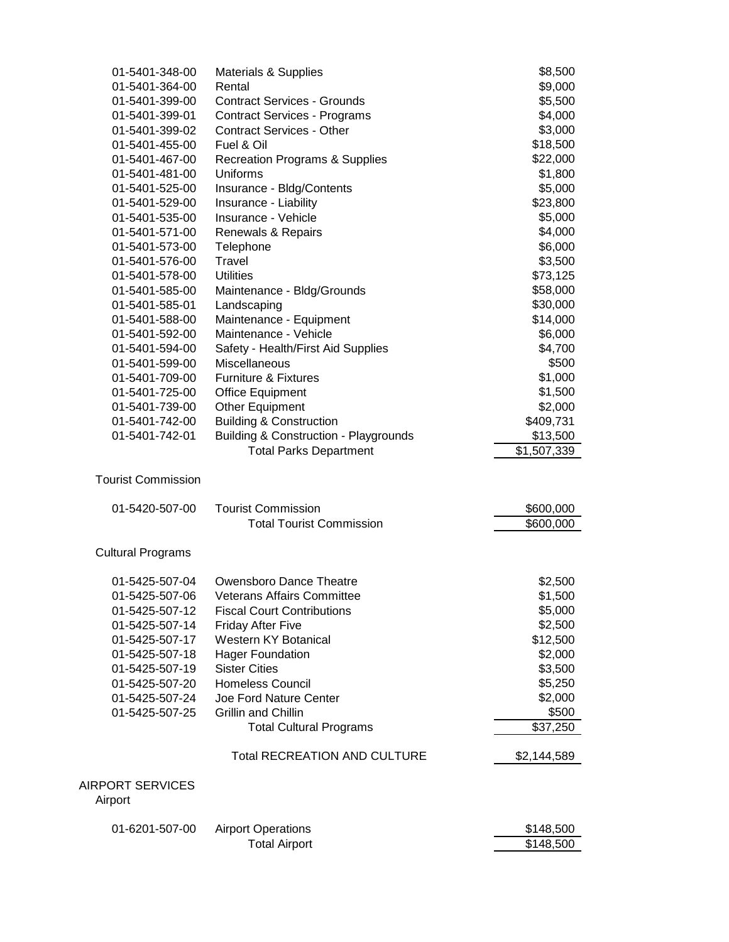| 01-5401-348-00                              | Materials & Supplies                                                              | \$8,500                 |
|---------------------------------------------|-----------------------------------------------------------------------------------|-------------------------|
| 01-5401-364-00                              | Rental                                                                            | \$9,000                 |
| 01-5401-399-00                              | <b>Contract Services - Grounds</b>                                                | \$5,500                 |
| 01-5401-399-01                              | <b>Contract Services - Programs</b>                                               | \$4,000                 |
| 01-5401-399-02                              | <b>Contract Services - Other</b>                                                  | \$3,000                 |
| 01-5401-455-00                              | Fuel & Oil                                                                        | \$18,500                |
| 01-5401-467-00                              | <b>Recreation Programs &amp; Supplies</b>                                         | \$22,000                |
| 01-5401-481-00                              | Uniforms                                                                          | \$1,800                 |
| 01-5401-525-00                              | Insurance - Bldg/Contents                                                         | \$5,000                 |
| 01-5401-529-00                              | Insurance - Liability                                                             | \$23,800                |
| 01-5401-535-00                              | Insurance - Vehicle                                                               | \$5,000                 |
| 01-5401-571-00                              | Renewals & Repairs                                                                | \$4,000                 |
| 01-5401-573-00                              | Telephone                                                                         | \$6,000                 |
| 01-5401-576-00                              | Travel                                                                            | \$3,500                 |
| 01-5401-578-00                              | <b>Utilities</b>                                                                  | \$73,125                |
| 01-5401-585-00                              | Maintenance - Bldg/Grounds                                                        | \$58,000                |
| 01-5401-585-01                              | Landscaping                                                                       | \$30,000                |
| 01-5401-588-00                              | Maintenance - Equipment                                                           | \$14,000                |
| 01-5401-592-00                              | Maintenance - Vehicle                                                             | \$6,000                 |
| 01-5401-594-00                              | Safety - Health/First Aid Supplies                                                | \$4,700                 |
| 01-5401-599-00                              | Miscellaneous                                                                     | \$500                   |
| 01-5401-709-00                              | <b>Furniture &amp; Fixtures</b>                                                   | \$1,000                 |
| 01-5401-725-00                              | <b>Office Equipment</b>                                                           | \$1,500                 |
| 01-5401-739-00                              | <b>Other Equipment</b>                                                            | \$2,000                 |
| 01-5401-742-00                              | <b>Building &amp; Construction</b>                                                | \$409,731               |
| 01-5401-742-01                              | <b>Building &amp; Construction - Playgrounds</b><br><b>Total Parks Department</b> | \$13,500<br>\$1,507,339 |
| <b>Tourist Commission</b><br>01-5420-507-00 | <b>Tourist Commission</b>                                                         | \$600,000               |
|                                             | <b>Total Tourist Commission</b>                                                   | \$600,000               |
|                                             |                                                                                   |                         |
| <b>Cultural Programs</b>                    |                                                                                   |                         |
| 01-5425-507-04                              | <b>Owensboro Dance Theatre</b>                                                    | \$2,500                 |
| 01-5425-507-06                              | <b>Veterans Affairs Committee</b>                                                 | \$1,500                 |
| 01-5425-507-12                              | <b>Fiscal Court Contributions</b>                                                 | \$5,000                 |
| 01-5425-507-14                              | <b>Friday After Five</b>                                                          | \$2,500                 |
| 01-5425-507-17                              | Western KY Botanical                                                              | \$12,500                |
| 01-5425-507-18                              | <b>Hager Foundation</b>                                                           | \$2,000                 |
| 01-5425-507-19                              | <b>Sister Cities</b>                                                              | \$3,500                 |
| 01-5425-507-20                              | <b>Homeless Council</b>                                                           | \$5,250                 |
| 01-5425-507-24                              | Joe Ford Nature Center                                                            | \$2,000                 |
| 01-5425-507-25                              | Grillin and Chillin                                                               | \$500                   |
|                                             | <b>Total Cultural Programs</b>                                                    | \$37,250                |
|                                             | <b>Total RECREATION AND CULTURE</b>                                               | \$2,144,589             |
| <b>AIRPORT SERVICES</b><br>Airport          |                                                                                   |                         |
| 01-6201-507-00                              | <b>Airport Operations</b>                                                         | \$148,500               |
|                                             | <b>Total Airport</b>                                                              | \$148,500               |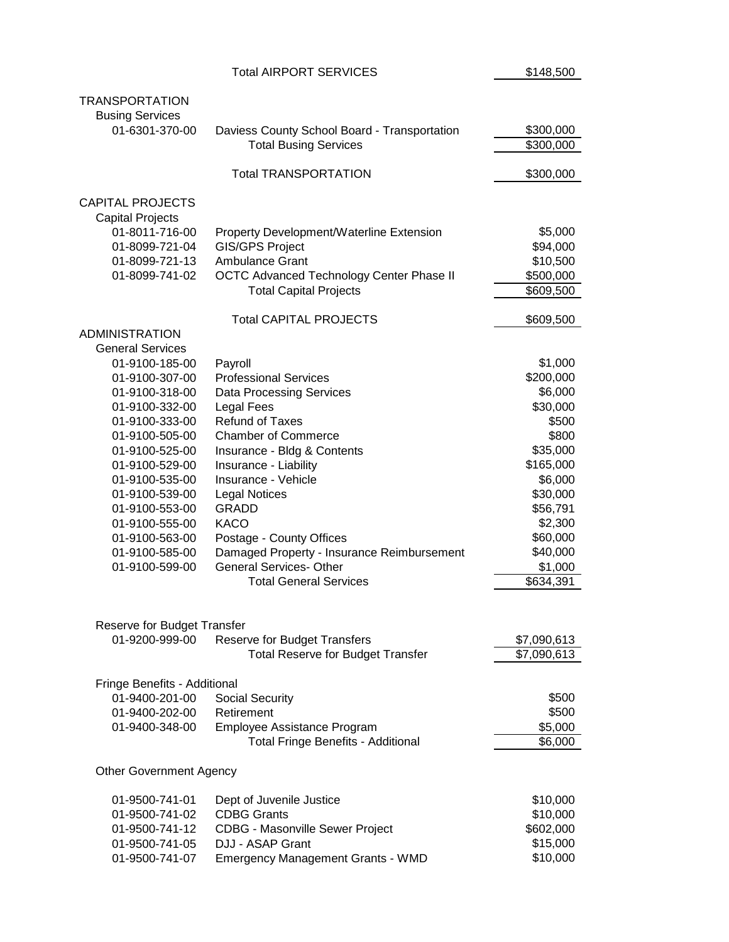|                                           | <b>Total AIRPORT SERVICES</b>                                      | \$148,500             |
|-------------------------------------------|--------------------------------------------------------------------|-----------------------|
| <b>TRANSPORTATION</b>                     |                                                                    |                       |
| <b>Busing Services</b>                    |                                                                    |                       |
| 01-6301-370-00                            | Daviess County School Board - Transportation                       | \$300,000             |
|                                           | <b>Total Busing Services</b>                                       | \$300,000             |
|                                           |                                                                    |                       |
|                                           | <b>Total TRANSPORTATION</b>                                        | \$300,000             |
|                                           |                                                                    |                       |
| <b>CAPITAL PROJECTS</b>                   |                                                                    |                       |
| <b>Capital Projects</b><br>01-8011-716-00 |                                                                    | \$5,000               |
| 01-8099-721-04                            | Property Development/Waterline Extension<br><b>GIS/GPS Project</b> | \$94,000              |
| 01-8099-721-13                            | Ambulance Grant                                                    |                       |
|                                           |                                                                    | \$10,500              |
| 01-8099-741-02                            | <b>OCTC Advanced Technology Center Phase II</b>                    | \$500,000             |
|                                           | <b>Total Capital Projects</b>                                      | \$609,500             |
|                                           | <b>Total CAPITAL PROJECTS</b>                                      | \$609,500             |
| <b>ADMINISTRATION</b>                     |                                                                    |                       |
| <b>General Services</b>                   |                                                                    |                       |
| 01-9100-185-00                            | Payroll                                                            | \$1,000               |
| 01-9100-307-00                            | <b>Professional Services</b>                                       | \$200,000             |
| 01-9100-318-00                            | <b>Data Processing Services</b>                                    | \$6,000               |
| 01-9100-332-00                            | <b>Legal Fees</b>                                                  | \$30,000              |
| 01-9100-333-00                            | <b>Refund of Taxes</b>                                             | \$500                 |
| 01-9100-505-00                            | <b>Chamber of Commerce</b>                                         | \$800                 |
| 01-9100-525-00                            | Insurance - Bldg & Contents                                        | \$35,000              |
| 01-9100-529-00                            | Insurance - Liability                                              | \$165,000             |
| 01-9100-535-00                            | Insurance - Vehicle                                                | \$6,000               |
| 01-9100-539-00                            | <b>Legal Notices</b>                                               | \$30,000              |
| 01-9100-553-00                            | <b>GRADD</b>                                                       | \$56,791              |
| 01-9100-555-00                            | <b>KACO</b>                                                        | \$2,300               |
| 01-9100-563-00                            | Postage - County Offices                                           | \$60,000              |
| 01-9100-585-00                            | Damaged Property - Insurance Reimbursement                         | \$40,000              |
| 01-9100-599-00                            | <b>General Services- Other</b>                                     | \$1,000               |
|                                           | <b>Total General Services</b>                                      | $\overline{$}634,391$ |
|                                           |                                                                    |                       |
| Reserve for Budget Transfer               |                                                                    |                       |
| 01-9200-999-00                            | <b>Reserve for Budget Transfers</b>                                | \$7,090,613           |
|                                           | <b>Total Reserve for Budget Transfer</b>                           | \$7,090,613           |
| Fringe Benefits - Additional              |                                                                    |                       |
| 01-9400-201-00                            | <b>Social Security</b>                                             | \$500                 |
| 01-9400-202-00                            | Retirement                                                         | \$500                 |
| 01-9400-348-00                            | Employee Assistance Program                                        | \$5,000               |
|                                           | <b>Total Fringe Benefits - Additional</b>                          | \$6,000               |
|                                           |                                                                    |                       |
| <b>Other Government Agency</b>            |                                                                    |                       |
| 01-9500-741-01                            | Dept of Juvenile Justice                                           | \$10,000              |
| 01-9500-741-02                            | <b>CDBG Grants</b>                                                 | \$10,000              |
| 01-9500-741-12                            | <b>CDBG - Masonville Sewer Project</b>                             | \$602,000             |
| 01-9500-741-05                            | DJJ - ASAP Grant                                                   | \$15,000              |
| 01-9500-741-07                            | <b>Emergency Management Grants - WMD</b>                           | \$10,000              |
|                                           |                                                                    |                       |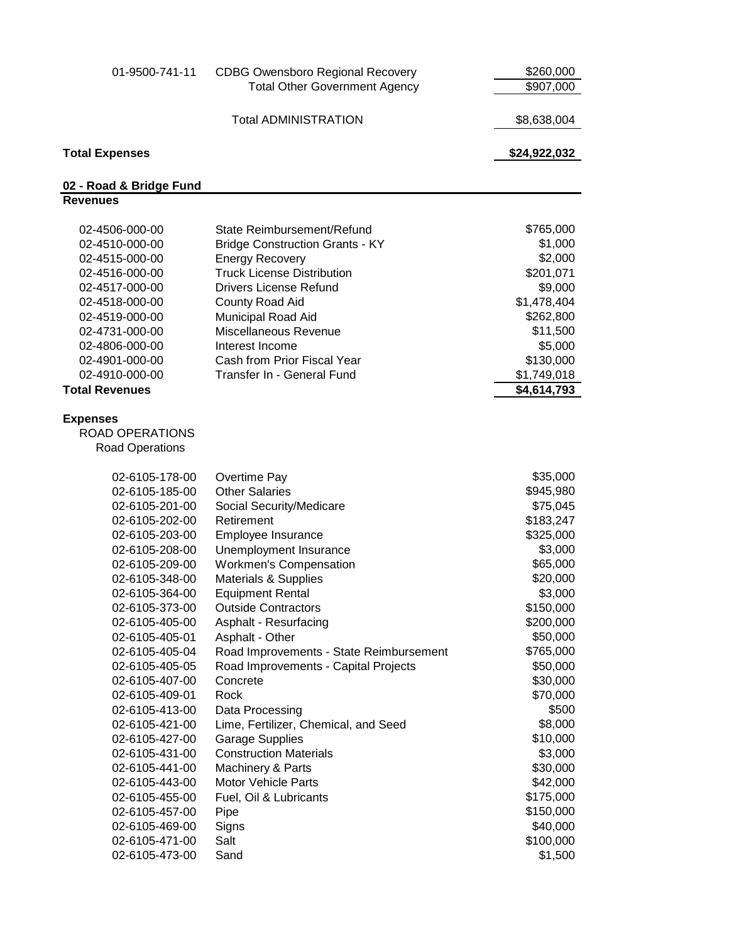| 01-9500-741-11                   | <b>CDBG Owensboro Regional Recovery</b>                     | \$260,000              |
|----------------------------------|-------------------------------------------------------------|------------------------|
|                                  | <b>Total Other Government Agency</b>                        | \$907,000              |
|                                  | <b>Total ADMINISTRATION</b>                                 | \$8,638,004            |
| <b>Total Expenses</b>            |                                                             | \$24,922,032           |
| 02 - Road & Bridge Fund          |                                                             |                        |
| <b>Revenues</b>                  |                                                             |                        |
|                                  |                                                             |                        |
| 02-4506-000-00                   | State Reimbursement/Refund                                  | \$765,000              |
| 02-4510-000-00                   | <b>Bridge Construction Grants - KY</b>                      | \$1,000                |
| 02-4515-000-00<br>02-4516-000-00 | <b>Energy Recovery</b><br><b>Truck License Distribution</b> | \$2,000<br>\$201,071   |
| 02-4517-000-00                   | <b>Drivers License Refund</b>                               | \$9,000                |
| 02-4518-000-00                   | County Road Aid                                             | \$1,478,404            |
| 02-4519-000-00                   | Municipal Road Aid                                          | \$262,800              |
| 02-4731-000-00                   | Miscellaneous Revenue                                       | \$11,500               |
| 02-4806-000-00                   | Interest Income                                             | \$5,000                |
| 02-4901-000-00                   | Cash from Prior Fiscal Year                                 | \$130,000              |
| 02-4910-000-00                   | Transfer In - General Fund                                  | \$1,749,018            |
| <b>Total Revenues</b>            |                                                             | \$4,614,793            |
|                                  |                                                             |                        |
| <b>Expenses</b>                  |                                                             |                        |
| ROAD OPERATIONS                  |                                                             |                        |
| <b>Road Operations</b>           |                                                             |                        |
|                                  |                                                             |                        |
| 02-6105-178-00                   | Overtime Pay                                                | \$35,000               |
| 02-6105-185-00                   | <b>Other Salaries</b>                                       | \$945,980              |
| 02-6105-201-00                   | Social Security/Medicare                                    | \$75,045               |
| 02-6105-202-00                   | Retirement                                                  | \$183,247              |
| 02-6105-203-00                   | Employee Insurance                                          | \$325,000              |
| 02-6105-208-00                   | Unemployment Insurance                                      | \$3,000                |
| 02-6105-209-00                   | <b>Workmen's Compensation</b>                               | \$65,000               |
| 02-6105-348-00                   | <b>Materials &amp; Supplies</b>                             | \$20,000               |
| 02-6105-364-00                   | <b>Equipment Rental</b>                                     | \$3,000                |
| 02-6105-373-00                   | <b>Outside Contractors</b>                                  | \$150,000<br>\$200,000 |
| 02-6105-405-00<br>02-6105-405-01 | Asphalt - Resurfacing<br>Asphalt - Other                    | \$50,000               |
| 02-6105-405-04                   | Road Improvements - State Reimbursement                     | \$765,000              |
| 02-6105-405-05                   | Road Improvements - Capital Projects                        | \$50,000               |
| 02-6105-407-00                   | Concrete                                                    | \$30,000               |
| 02-6105-409-01                   | Rock                                                        | \$70,000               |
| 02-6105-413-00                   | Data Processing                                             | \$500                  |
| 02-6105-421-00                   | Lime, Fertilizer, Chemical, and Seed                        | \$8,000                |
| 02-6105-427-00                   | <b>Garage Supplies</b>                                      | \$10,000               |
| 02-6105-431-00                   | <b>Construction Materials</b>                               | \$3,000                |
| 02-6105-441-00                   | Machinery & Parts                                           | \$30,000               |
| 02-6105-443-00                   | <b>Motor Vehicle Parts</b>                                  | \$42,000               |
| 02-6105-455-00                   | Fuel, Oil & Lubricants                                      | \$175,000              |
| 02-6105-457-00                   | Pipe                                                        | \$150,000              |
| 02-6105-469-00                   | Signs                                                       | \$40,000               |
| 02-6105-471-00                   | Salt                                                        | \$100,000              |
| 02-6105-473-00                   | Sand                                                        | \$1,500                |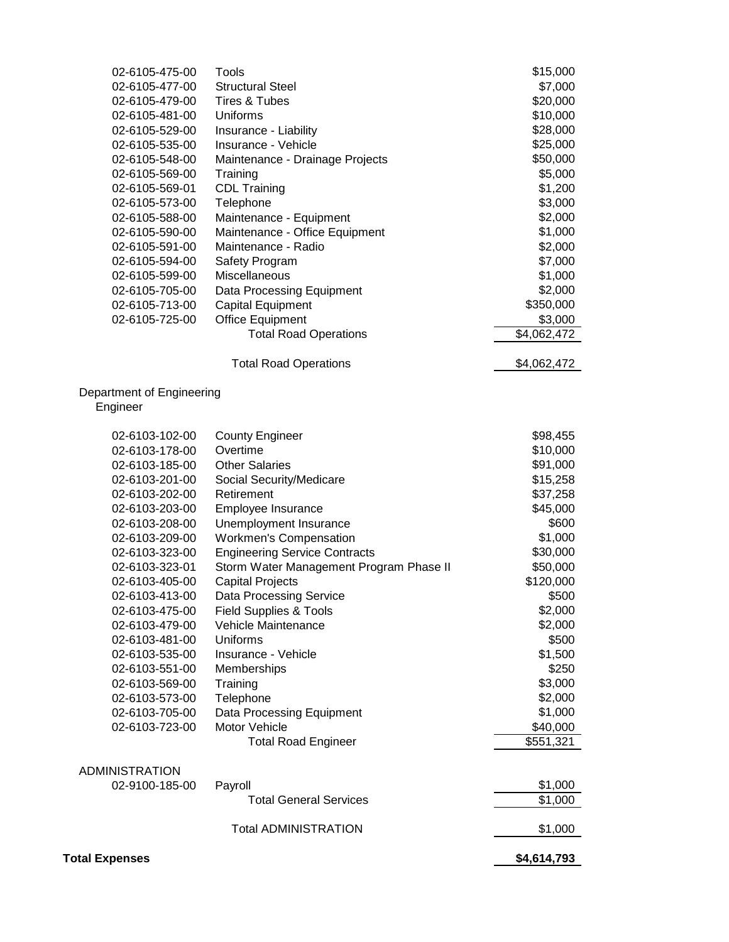| 02-6105-475-00<br>02-6105-477-00<br>02-6105-479-00<br>02-6105-481-00<br>02-6105-529-00<br>02-6105-535-00<br>02-6105-548-00<br>02-6105-569-00<br>02-6105-569-01<br>02-6105-573-00<br>02-6105-588-00<br>02-6105-590-00<br>02-6105-591-00 | Tools<br><b>Structural Steel</b><br>Tires & Tubes<br>Uniforms<br>Insurance - Liability<br>Insurance - Vehicle<br>Maintenance - Drainage Projects<br>Training<br><b>CDL Training</b><br>Telephone<br>Maintenance - Equipment<br>Maintenance - Office Equipment<br>Maintenance - Radio | \$15,000<br>\$7,000<br>\$20,000<br>\$10,000<br>\$28,000<br>\$25,000<br>\$50,000<br>\$5,000<br>\$1,200<br>\$3,000<br>\$2,000<br>\$1,000<br>\$2,000 |
|----------------------------------------------------------------------------------------------------------------------------------------------------------------------------------------------------------------------------------------|--------------------------------------------------------------------------------------------------------------------------------------------------------------------------------------------------------------------------------------------------------------------------------------|---------------------------------------------------------------------------------------------------------------------------------------------------|
| 02-6105-594-00<br>02-6105-599-00                                                                                                                                                                                                       | Safety Program<br>Miscellaneous                                                                                                                                                                                                                                                      | \$7,000<br>\$1,000                                                                                                                                |
| 02-6105-705-00                                                                                                                                                                                                                         | Data Processing Equipment                                                                                                                                                                                                                                                            | \$2,000                                                                                                                                           |
| 02-6105-713-00                                                                                                                                                                                                                         | Capital Equipment                                                                                                                                                                                                                                                                    | \$350,000                                                                                                                                         |
| 02-6105-725-00                                                                                                                                                                                                                         | <b>Office Equipment</b>                                                                                                                                                                                                                                                              | \$3,000                                                                                                                                           |
|                                                                                                                                                                                                                                        | <b>Total Road Operations</b>                                                                                                                                                                                                                                                         | \$4,062,472                                                                                                                                       |
|                                                                                                                                                                                                                                        | <b>Total Road Operations</b>                                                                                                                                                                                                                                                         | \$4,062,472                                                                                                                                       |
| Department of Engineering<br>Engineer                                                                                                                                                                                                  |                                                                                                                                                                                                                                                                                      |                                                                                                                                                   |
| 02-6103-102-00                                                                                                                                                                                                                         | <b>County Engineer</b>                                                                                                                                                                                                                                                               | \$98,455                                                                                                                                          |
| 02-6103-178-00                                                                                                                                                                                                                         | Overtime                                                                                                                                                                                                                                                                             | \$10,000                                                                                                                                          |
| 02-6103-185-00                                                                                                                                                                                                                         | <b>Other Salaries</b>                                                                                                                                                                                                                                                                | \$91,000                                                                                                                                          |
| 02-6103-201-00                                                                                                                                                                                                                         | Social Security/Medicare                                                                                                                                                                                                                                                             | \$15,258                                                                                                                                          |
| 02-6103-202-00                                                                                                                                                                                                                         | Retirement                                                                                                                                                                                                                                                                           | \$37,258                                                                                                                                          |
| 02-6103-203-00                                                                                                                                                                                                                         | Employee Insurance                                                                                                                                                                                                                                                                   | \$45,000                                                                                                                                          |
| 02-6103-208-00                                                                                                                                                                                                                         | Unemployment Insurance                                                                                                                                                                                                                                                               | \$600                                                                                                                                             |
| 02-6103-209-00                                                                                                                                                                                                                         | <b>Workmen's Compensation</b>                                                                                                                                                                                                                                                        | \$1,000<br>\$30,000                                                                                                                               |
| 02-6103-323-00<br>02-6103-323-01                                                                                                                                                                                                       | <b>Engineering Service Contracts</b><br>Storm Water Management Program Phase II                                                                                                                                                                                                      | \$50,000                                                                                                                                          |
| 02-6103-405-00                                                                                                                                                                                                                         | <b>Capital Projects</b>                                                                                                                                                                                                                                                              | \$120,000                                                                                                                                         |
| 02-6103-413-00                                                                                                                                                                                                                         | <b>Data Processing Service</b>                                                                                                                                                                                                                                                       | \$500                                                                                                                                             |
| 02-6103-475-00                                                                                                                                                                                                                         | Field Supplies & Tools                                                                                                                                                                                                                                                               | \$2,000                                                                                                                                           |
| 02-6103-479-00                                                                                                                                                                                                                         | Vehicle Maintenance                                                                                                                                                                                                                                                                  | \$2,000                                                                                                                                           |
| 02-6103-481-00                                                                                                                                                                                                                         | Uniforms                                                                                                                                                                                                                                                                             | \$500                                                                                                                                             |
| 02-6103-535-00                                                                                                                                                                                                                         | Insurance - Vehicle                                                                                                                                                                                                                                                                  | \$1,500                                                                                                                                           |
| 02-6103-551-00                                                                                                                                                                                                                         | Memberships                                                                                                                                                                                                                                                                          | \$250                                                                                                                                             |
| 02-6103-569-00                                                                                                                                                                                                                         | Training                                                                                                                                                                                                                                                                             | \$3,000                                                                                                                                           |
| 02-6103-573-00                                                                                                                                                                                                                         | Telephone                                                                                                                                                                                                                                                                            | \$2,000                                                                                                                                           |
| 02-6103-705-00                                                                                                                                                                                                                         | Data Processing Equipment                                                                                                                                                                                                                                                            | \$1,000                                                                                                                                           |
| 02-6103-723-00                                                                                                                                                                                                                         | Motor Vehicle                                                                                                                                                                                                                                                                        | \$40,000                                                                                                                                          |
|                                                                                                                                                                                                                                        | <b>Total Road Engineer</b>                                                                                                                                                                                                                                                           | \$551,321                                                                                                                                         |
| <b>ADMINISTRATION</b>                                                                                                                                                                                                                  |                                                                                                                                                                                                                                                                                      |                                                                                                                                                   |
| 02-9100-185-00                                                                                                                                                                                                                         | Payroll                                                                                                                                                                                                                                                                              | \$1,000                                                                                                                                           |
|                                                                                                                                                                                                                                        | <b>Total General Services</b>                                                                                                                                                                                                                                                        | \$1,000                                                                                                                                           |
|                                                                                                                                                                                                                                        | <b>Total ADMINISTRATION</b>                                                                                                                                                                                                                                                          | \$1,000                                                                                                                                           |
| <b>Total Expenses</b>                                                                                                                                                                                                                  |                                                                                                                                                                                                                                                                                      | \$4,614,793                                                                                                                                       |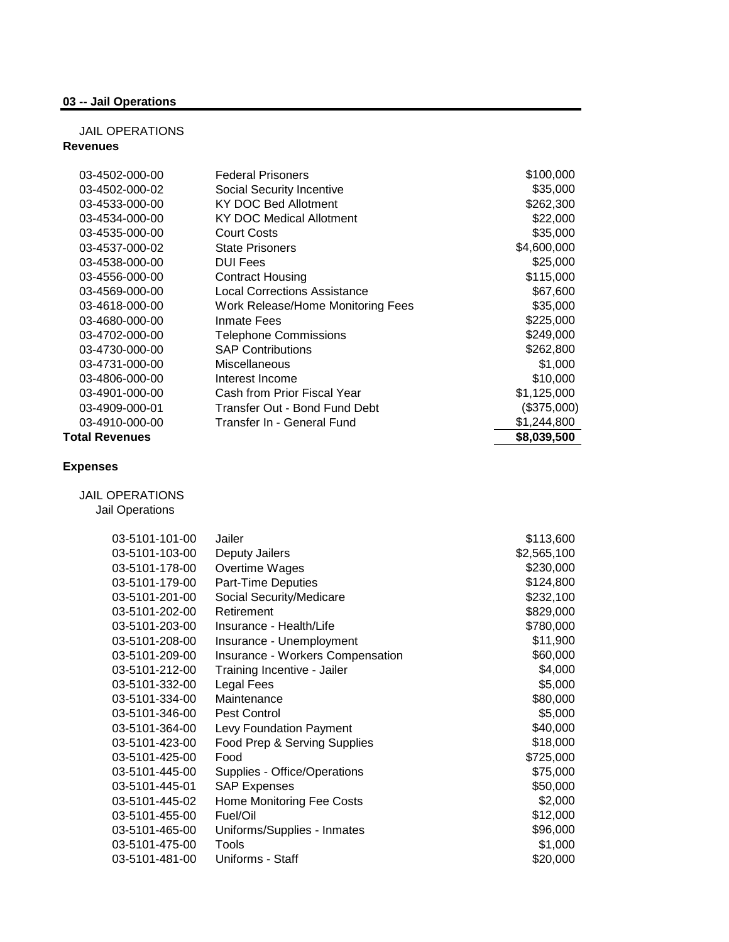### **03 -- Jail Operations**

#### JAIL OPERATIONS **Revenues**

| 03-4502-000-00        | <b>Federal Prisoners</b>            | \$100,000   |
|-----------------------|-------------------------------------|-------------|
| 03-4502-000-02        | Social Security Incentive           | \$35,000    |
| 03-4533-000-00        | <b>KY DOC Bed Allotment</b>         | \$262,300   |
| 03-4534-000-00        | <b>KY DOC Medical Allotment</b>     | \$22,000    |
| 03-4535-000-00        | Court Costs                         | \$35,000    |
| 03-4537-000-02        | <b>State Prisoners</b>              | \$4,600,000 |
| 03-4538-000-00        | <b>DUI Fees</b>                     | \$25,000    |
| 03-4556-000-00        | <b>Contract Housing</b>             | \$115,000   |
| 03-4569-000-00        | <b>Local Corrections Assistance</b> | \$67,600    |
| 03-4618-000-00        | Work Release/Home Monitoring Fees   | \$35,000    |
| 03-4680-000-00        | Inmate Fees                         | \$225,000   |
| 03-4702-000-00        | <b>Telephone Commissions</b>        | \$249,000   |
| 03-4730-000-00        | <b>SAP Contributions</b>            | \$262,800   |
| 03-4731-000-00        | Miscellaneous                       | \$1,000     |
| 03-4806-000-00        | Interest Income                     | \$10,000    |
| 03-4901-000-00        | Cash from Prior Fiscal Year         | \$1,125,000 |
| 03-4909-000-01        | Transfer Out - Bond Fund Debt       | (\$375,000) |
| 03-4910-000-00        | Transfer In - General Fund          | \$1,244,800 |
| <b>Total Revenues</b> |                                     | \$8,039,500 |

### **Expenses**

JAIL OPERATIONS

Jail Operations

| 03-5101-103-00<br>Deputy Jailers<br>03-5101-178-00<br>Overtime Wages<br>03-5101-179-00<br>Part-Time Deputies<br>03-5101-201-00<br>Social Security/Medicare<br>03-5101-202-00<br>Retirement<br>03-5101-203-00<br>Insurance - Health/Life<br>03-5101-208-00<br>Insurance - Unemployment | \$113,600   |
|---------------------------------------------------------------------------------------------------------------------------------------------------------------------------------------------------------------------------------------------------------------------------------------|-------------|
|                                                                                                                                                                                                                                                                                       | \$2,565,100 |
|                                                                                                                                                                                                                                                                                       | \$230,000   |
|                                                                                                                                                                                                                                                                                       | \$124,800   |
|                                                                                                                                                                                                                                                                                       | \$232,100   |
|                                                                                                                                                                                                                                                                                       | \$829,000   |
|                                                                                                                                                                                                                                                                                       | \$780,000   |
|                                                                                                                                                                                                                                                                                       | \$11,900    |
| Insurance - Workers Compensation<br>03-5101-209-00                                                                                                                                                                                                                                    | \$60,000    |
| 03-5101-212-00<br>Training Incentive - Jailer                                                                                                                                                                                                                                         | \$4,000     |
| 03-5101-332-00<br>Legal Fees                                                                                                                                                                                                                                                          | \$5,000     |
| 03-5101-334-00<br>Maintenance                                                                                                                                                                                                                                                         | \$80,000    |
| Pest Control<br>03-5101-346-00                                                                                                                                                                                                                                                        | \$5,000     |
| 03-5101-364-00<br>Levy Foundation Payment                                                                                                                                                                                                                                             | \$40,000    |
| Food Prep & Serving Supplies<br>03-5101-423-00                                                                                                                                                                                                                                        | \$18,000    |
| 03-5101-425-00<br>Food                                                                                                                                                                                                                                                                | \$725,000   |
| 03-5101-445-00<br>Supplies - Office/Operations                                                                                                                                                                                                                                        | \$75,000    |
| 03-5101-445-01<br><b>SAP Expenses</b>                                                                                                                                                                                                                                                 | \$50,000    |
| 03-5101-445-02<br>Home Monitoring Fee Costs                                                                                                                                                                                                                                           | \$2,000     |
| Fuel/Oil<br>03-5101-455-00                                                                                                                                                                                                                                                            | \$12,000    |
| 03-5101-465-00<br>Uniforms/Supplies - Inmates                                                                                                                                                                                                                                         | \$96,000    |
| 03-5101-475-00<br>Tools                                                                                                                                                                                                                                                               | \$1,000     |
| 03-5101-481-00<br>Uniforms - Staff                                                                                                                                                                                                                                                    | \$20,000    |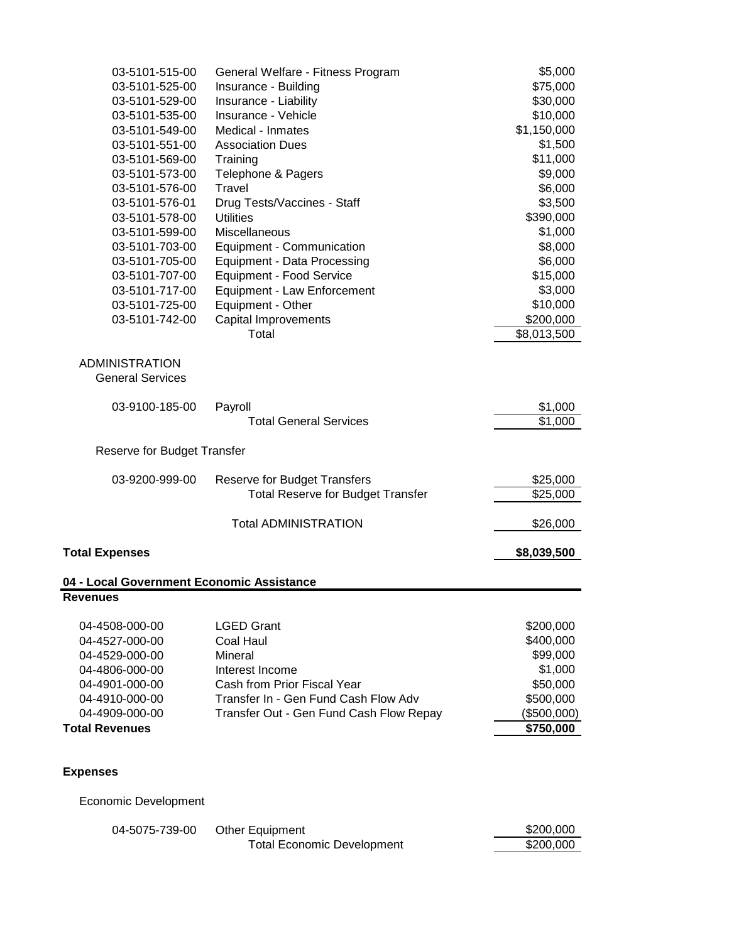| 03-5101-515-00                                               | General Welfare - Fitness Program        | \$5,000     |
|--------------------------------------------------------------|------------------------------------------|-------------|
| 03-5101-525-00                                               | Insurance - Building                     | \$75,000    |
| 03-5101-529-00                                               | Insurance - Liability                    | \$30,000    |
| 03-5101-535-00                                               | Insurance - Vehicle                      | \$10,000    |
| 03-5101-549-00                                               | Medical - Inmates                        | \$1,150,000 |
| 03-5101-551-00                                               | <b>Association Dues</b>                  | \$1,500     |
| 03-5101-569-00                                               | Training                                 | \$11,000    |
| 03-5101-573-00                                               | Telephone & Pagers                       | \$9,000     |
| 03-5101-576-00                                               | Travel                                   | \$6,000     |
| 03-5101-576-01                                               | Drug Tests/Vaccines - Staff              | \$3,500     |
| 03-5101-578-00                                               | <b>Utilities</b>                         | \$390,000   |
| 03-5101-599-00                                               | Miscellaneous                            | \$1,000     |
| 03-5101-703-00                                               | Equipment - Communication                | \$8,000     |
| 03-5101-705-00                                               | <b>Equipment - Data Processing</b>       | \$6,000     |
| 03-5101-707-00                                               | <b>Equipment - Food Service</b>          | \$15,000    |
| 03-5101-717-00                                               | Equipment - Law Enforcement              | \$3,000     |
| 03-5101-725-00                                               | Equipment - Other                        | \$10,000    |
| 03-5101-742-00                                               | Capital Improvements                     | \$200,000   |
|                                                              | Total                                    | \$8,013,500 |
|                                                              |                                          |             |
| <b>ADMINISTRATION</b>                                        |                                          |             |
| <b>General Services</b>                                      |                                          |             |
|                                                              |                                          |             |
| 03-9100-185-00                                               | Payroll                                  | \$1,000     |
|                                                              | <b>Total General Services</b>            | \$1,000     |
|                                                              |                                          |             |
| Reserve for Budget Transfer                                  |                                          |             |
| 03-9200-999-00                                               | <b>Reserve for Budget Transfers</b>      | \$25,000    |
|                                                              | <b>Total Reserve for Budget Transfer</b> | \$25,000    |
|                                                              |                                          |             |
|                                                              | <b>Total ADMINISTRATION</b>              | \$26,000    |
| <b>Total Expenses</b>                                        |                                          | \$8,039,500 |
|                                                              |                                          |             |
| 04 - Local Government Economic Assistance<br><b>Revenues</b> |                                          |             |
|                                                              |                                          |             |
| 04-4508-000-00                                               | <b>LGED Grant</b>                        | \$200,000   |
| 04-4527-000-00                                               | <b>Coal Haul</b>                         | \$400,000   |
| 04-4529-000-00                                               | Mineral                                  | \$99,000    |
| 04-4806-000-00                                               | Interest Income                          | \$1,000     |
| 04-4901-000-00                                               | Cash from Prior Fiscal Year              | \$50,000    |
| 04-4910-000-00                                               | Transfer In - Gen Fund Cash Flow Adv     | \$500,000   |
| 04-4909-000-00                                               | Transfer Out - Gen Fund Cash Flow Repay  | (\$500,000) |
| <b>Total Revenues</b>                                        |                                          | \$750,000   |
|                                                              |                                          |             |
|                                                              |                                          |             |
|                                                              |                                          |             |

# **Expenses**

Economic Development

| 04-5075-739-00 | Other Equipment                   | \$200,000 |
|----------------|-----------------------------------|-----------|
|                | <b>Total Economic Development</b> | \$200,000 |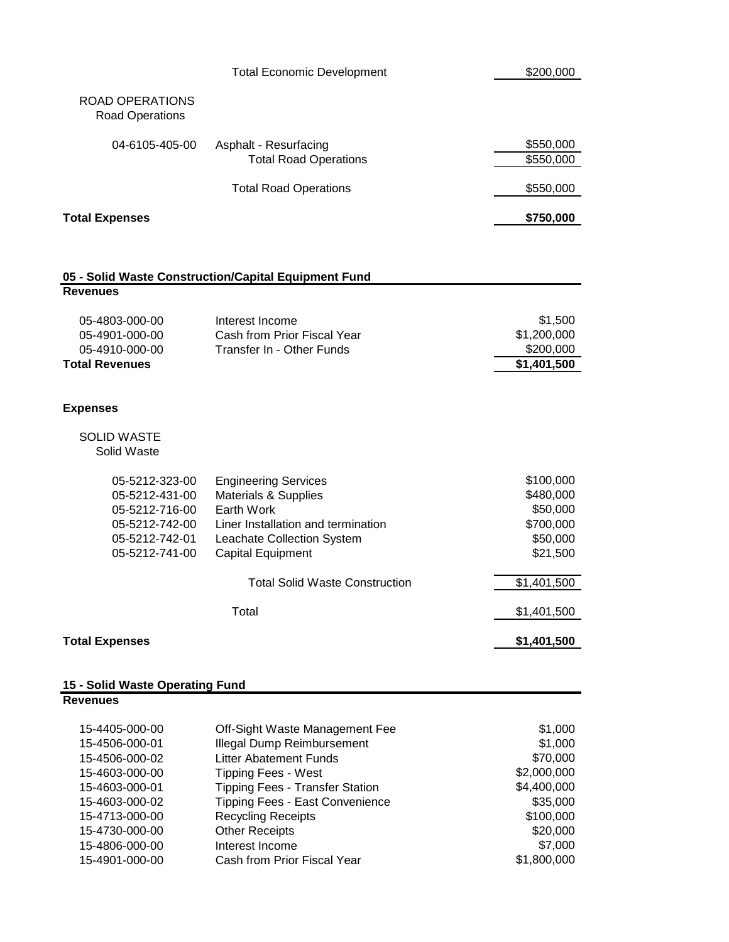|                                           | <b>Total Economic Development</b>                     | \$200,000              |
|-------------------------------------------|-------------------------------------------------------|------------------------|
| ROAD OPERATIONS<br><b>Road Operations</b> |                                                       |                        |
| 04-6105-405-00                            | Asphalt - Resurfacing<br><b>Total Road Operations</b> | \$550,000<br>\$550,000 |
|                                           | <b>Total Road Operations</b>                          | \$550,000              |
| <b>Total Expenses</b>                     |                                                       | \$750,000              |

#### **05 - Solid Waste Construction/Capital Equipment Fund Revenues**

| Total Revenues |                             | \$1,401,500 |
|----------------|-----------------------------|-------------|
| 05-4910-000-00 | Transfer In - Other Funds   | \$200,000   |
| 05-4901-000-00 | Cash from Prior Fiscal Year | \$1,200,000 |
| 05-4803-000-00 | Interest Income             | \$1,500     |
|                |                             |             |

### **Expenses**

#### SOLID WASTE Solid Waste

| <b>Total Expenses</b> |                                       | \$1,401,500 |
|-----------------------|---------------------------------------|-------------|
|                       | Total                                 | \$1,401,500 |
|                       | <b>Total Solid Waste Construction</b> | \$1,401,500 |
| 05-5212-741-00        | Capital Equipment                     | \$21,500    |
| 05-5212-742-01        | Leachate Collection System            | \$50,000    |
| 05-5212-742-00        | Liner Installation and termination    | \$700,000   |
| 05-5212-716-00        | Earth Work                            | \$50,000    |
| 05-5212-431-00        | <b>Materials &amp; Supplies</b>       | \$480,000   |
| 05-5212-323-00        | <b>Engineering Services</b>           | \$100,000   |
|                       |                                       |             |

#### **15 - Solid Waste Operating Fund**

**Revenues**

| 15-4405-000-00 | Off-Sight Waste Management Fee         | \$1,000     |
|----------------|----------------------------------------|-------------|
| 15-4506-000-01 | <b>Illegal Dump Reimbursement</b>      | \$1,000     |
| 15-4506-000-02 | Litter Abatement Funds                 | \$70,000    |
| 15-4603-000-00 | <b>Tipping Fees - West</b>             | \$2,000,000 |
| 15-4603-000-01 | <b>Tipping Fees - Transfer Station</b> | \$4,400,000 |
| 15-4603-000-02 | Tipping Fees - East Convenience        | \$35,000    |
| 15-4713-000-00 | <b>Recycling Receipts</b>              | \$100,000   |
| 15-4730-000-00 | <b>Other Receipts</b>                  | \$20,000    |
| 15-4806-000-00 | Interest Income                        | \$7,000     |
| 15-4901-000-00 | Cash from Prior Fiscal Year            | \$1,800,000 |
|                |                                        |             |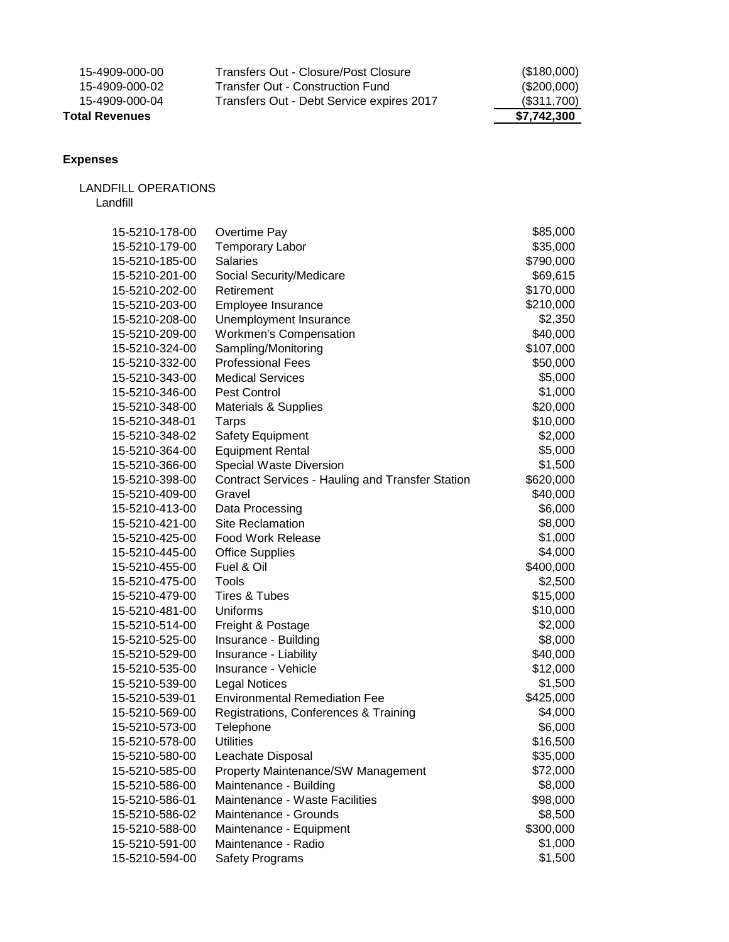| Total Revenues |                                           | \$7,742,300   |
|----------------|-------------------------------------------|---------------|
| 15-4909-000-04 | Transfers Out - Debt Service expires 2017 | (\$311,700)   |
| 15-4909-000-02 | Transfer Out - Construction Fund          | $(\$200,000)$ |
| 15-4909-000-00 | Transfers Out - Closure/Post Closure      | (\$180,000)   |

### **Expenses**

### LANDFILL OPERATIONS Landfill

| 15-5210-178-00 | Overtime Pay                                            | \$85,000  |
|----------------|---------------------------------------------------------|-----------|
| 15-5210-179-00 | <b>Temporary Labor</b>                                  | \$35,000  |
| 15-5210-185-00 | <b>Salaries</b>                                         | \$790,000 |
| 15-5210-201-00 | Social Security/Medicare                                | \$69,615  |
| 15-5210-202-00 | Retirement                                              | \$170,000 |
| 15-5210-203-00 | Employee Insurance                                      | \$210,000 |
| 15-5210-208-00 | Unemployment Insurance                                  | \$2,350   |
| 15-5210-209-00 | <b>Workmen's Compensation</b>                           | \$40,000  |
| 15-5210-324-00 | Sampling/Monitoring                                     | \$107,000 |
| 15-5210-332-00 | <b>Professional Fees</b>                                | \$50,000  |
| 15-5210-343-00 | <b>Medical Services</b>                                 | \$5,000   |
| 15-5210-346-00 | Pest Control                                            | \$1,000   |
| 15-5210-348-00 | <b>Materials &amp; Supplies</b>                         | \$20,000  |
| 15-5210-348-01 | Tarps                                                   | \$10,000  |
| 15-5210-348-02 | Safety Equipment                                        | \$2,000   |
| 15-5210-364-00 | <b>Equipment Rental</b>                                 | \$5,000   |
| 15-5210-366-00 | Special Waste Diversion                                 | \$1,500   |
| 15-5210-398-00 | <b>Contract Services - Hauling and Transfer Station</b> | \$620,000 |
| 15-5210-409-00 | Gravel                                                  | \$40,000  |
| 15-5210-413-00 | Data Processing                                         | \$6,000   |
| 15-5210-421-00 | <b>Site Reclamation</b>                                 | \$8,000   |
| 15-5210-425-00 | Food Work Release                                       | \$1,000   |
| 15-5210-445-00 | <b>Office Supplies</b>                                  | \$4,000   |
| 15-5210-455-00 | Fuel & Oil                                              | \$400,000 |
| 15-5210-475-00 | Tools                                                   | \$2,500   |
| 15-5210-479-00 | <b>Tires &amp; Tubes</b>                                | \$15,000  |
| 15-5210-481-00 | Uniforms                                                | \$10,000  |
| 15-5210-514-00 | Freight & Postage                                       | \$2,000   |
| 15-5210-525-00 | Insurance - Building                                    | \$8,000   |
| 15-5210-529-00 | Insurance - Liability                                   | \$40,000  |
| 15-5210-535-00 | Insurance - Vehicle                                     | \$12,000  |
| 15-5210-539-00 | <b>Legal Notices</b>                                    | \$1,500   |
| 15-5210-539-01 | <b>Environmental Remediation Fee</b>                    | \$425,000 |
| 15-5210-569-00 | Registrations, Conferences & Training                   | \$4,000   |
| 15-5210-573-00 | Telephone                                               | \$6,000   |
| 15-5210-578-00 | <b>Utilities</b>                                        | \$16,500  |
| 15-5210-580-00 | Leachate Disposal                                       | \$35,000  |
| 15-5210-585-00 | Property Maintenance/SW Management                      | \$72,000  |
| 15-5210-586-00 | Maintenance - Building                                  | \$8,000   |
| 15-5210-586-01 | Maintenance - Waste Facilities                          | \$98,000  |
| 15-5210-586-02 | Maintenance - Grounds                                   | \$8,500   |
| 15-5210-588-00 | Maintenance - Equipment                                 | \$300,000 |
| 15-5210-591-00 | Maintenance - Radio                                     | \$1,000   |
| 15-5210-594-00 | <b>Safety Programs</b>                                  | \$1,500   |
|                |                                                         |           |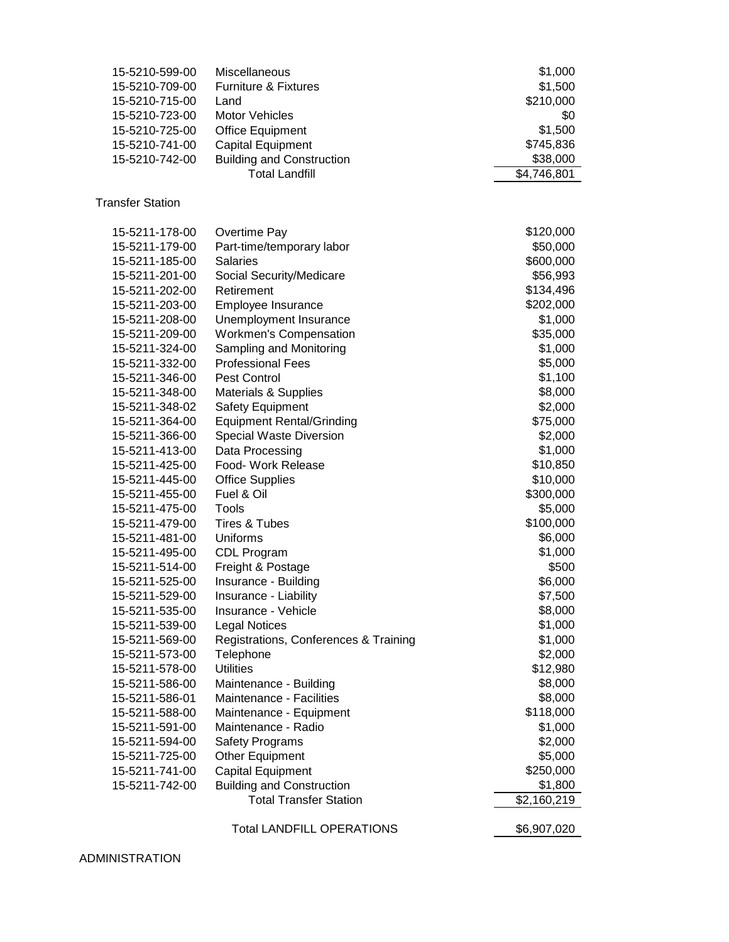| 15-5210-599-00          | Miscellaneous                         | \$1,000            |
|-------------------------|---------------------------------------|--------------------|
| 15-5210-709-00          | <b>Furniture &amp; Fixtures</b>       | \$1,500            |
| 15-5210-715-00          | Land                                  | \$210,000          |
| 15-5210-723-00          | <b>Motor Vehicles</b>                 | \$0                |
| 15-5210-725-00          | <b>Office Equipment</b>               | \$1,500            |
| 15-5210-741-00          | <b>Capital Equipment</b>              | \$745,836          |
| 15-5210-742-00          | <b>Building and Construction</b>      | \$38,000           |
|                         | <b>Total Landfill</b>                 | \$4,746,801        |
| <b>Transfer Station</b> |                                       |                    |
| 15-5211-178-00          | Overtime Pay                          | \$120,000          |
| 15-5211-179-00          | Part-time/temporary labor             | \$50,000           |
| 15-5211-185-00          | <b>Salaries</b>                       | \$600,000          |
| 15-5211-201-00          | Social Security/Medicare              | \$56,993           |
| 15-5211-202-00          | Retirement                            | \$134,496          |
| 15-5211-203-00          | Employee Insurance                    | \$202,000          |
| 15-5211-208-00          | Unemployment Insurance                | \$1,000            |
| 15-5211-209-00          | <b>Workmen's Compensation</b>         | \$35,000           |
| 15-5211-324-00          | Sampling and Monitoring               | \$1,000            |
| 15-5211-332-00          | <b>Professional Fees</b>              | \$5,000            |
| 15-5211-346-00          | Pest Control                          | \$1,100            |
| 15-5211-348-00          | Materials & Supplies                  | \$8,000            |
| 15-5211-348-02          | <b>Safety Equipment</b>               | \$2,000            |
| 15-5211-364-00          | <b>Equipment Rental/Grinding</b>      | \$75,000           |
| 15-5211-366-00          | Special Waste Diversion               | \$2,000            |
| 15-5211-413-00          | Data Processing                       | \$1,000            |
| 15-5211-425-00          | Food- Work Release                    | \$10,850           |
| 15-5211-445-00          | <b>Office Supplies</b>                | \$10,000           |
| 15-5211-455-00          | Fuel & Oil                            | \$300,000          |
| 15-5211-475-00          | Tools                                 | \$5,000            |
| 15-5211-479-00          | Tires & Tubes                         | \$100,000          |
| 15-5211-481-00          | Uniforms                              | \$6,000            |
| 15-5211-495-00          | CDL Program                           | \$1,000            |
| 15-5211-514-00          | Freight & Postage                     | \$500              |
| 15-5211-525-00          | Insurance - Building                  | \$6,000            |
| 15-5211-529-00          |                                       |                    |
|                         | Insurance - Liability                 | \$7,500<br>\$8,000 |
| 15-5211-535-00          | Insurance - Vehicle                   |                    |
| 15-5211-539-00          | <b>Legal Notices</b>                  | \$1,000            |
| 15-5211-569-00          | Registrations, Conferences & Training | \$1,000            |
| 15-5211-573-00          | Telephone                             | \$2,000            |
| 15-5211-578-00          | <b>Utilities</b>                      | \$12,980           |
| 15-5211-586-00          | Maintenance - Building                | \$8,000            |
| 15-5211-586-01          | Maintenance - Facilities              | \$8,000            |
| 15-5211-588-00          | Maintenance - Equipment               | \$118,000          |
| 15-5211-591-00          | Maintenance - Radio                   | \$1,000            |
| 15-5211-594-00          | <b>Safety Programs</b>                | \$2,000            |
| 15-5211-725-00          | Other Equipment                       | \$5,000            |
| 15-5211-741-00          | <b>Capital Equipment</b>              | \$250,000          |
| 15-5211-742-00          | <b>Building and Construction</b>      | \$1,800            |
|                         | <b>Total Transfer Station</b>         | \$2,160,219        |
|                         |                                       |                    |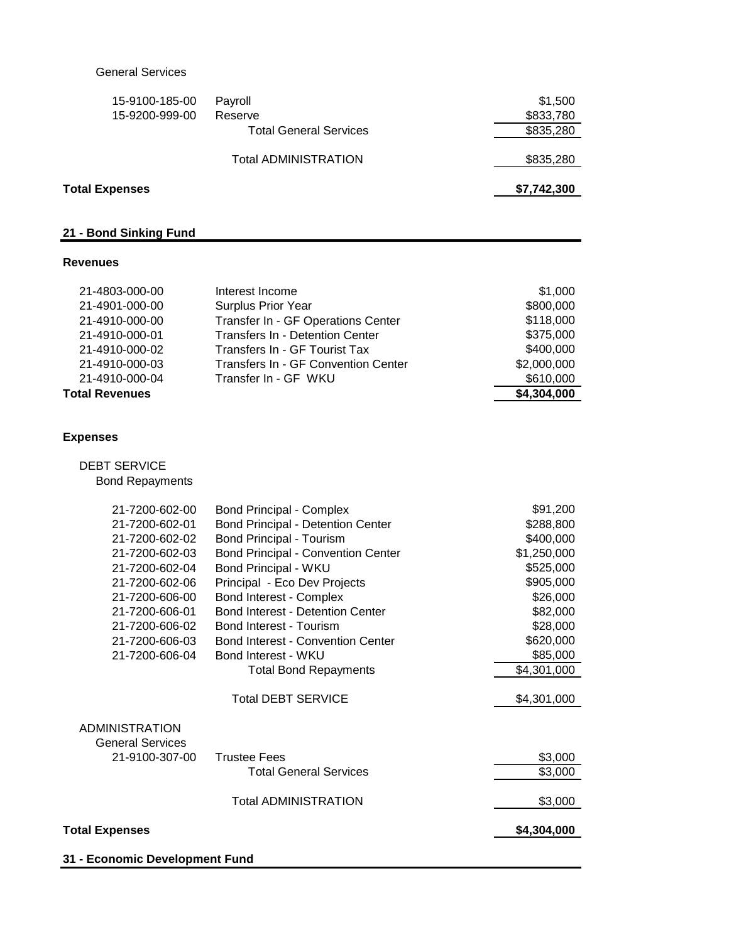### General Services

| <b>Total Expenses</b> |                               | \$7,742,300 |
|-----------------------|-------------------------------|-------------|
|                       | <b>Total ADMINISTRATION</b>   | \$835,280   |
|                       | <b>Total General Services</b> | \$835,280   |
| 15-9200-999-00        | Reserve                       | \$833,780   |
| 15-9100-185-00        | Payroll                       | \$1,500     |

### **21 - Bond Sinking Fund**

#### **Revenues**

| Transfer In - GF WKU | \$610,000                                                                                                                                                                                            |
|----------------------|------------------------------------------------------------------------------------------------------------------------------------------------------------------------------------------------------|
|                      |                                                                                                                                                                                                      |
|                      | \$2,000,000                                                                                                                                                                                          |
|                      | \$400,000                                                                                                                                                                                            |
|                      | \$375,000                                                                                                                                                                                            |
|                      | \$118,000                                                                                                                                                                                            |
|                      | \$800,000                                                                                                                                                                                            |
|                      | \$1,000                                                                                                                                                                                              |
|                      | Interest Income<br><b>Surplus Prior Year</b><br>Transfer In - GF Operations Center<br><b>Transfers In - Detention Center</b><br>Transfers In - GF Tourist Tax<br>Transfers In - GF Convention Center |

### **Expenses**

|  | <b>DEBT SERVICE</b> |  |
|--|---------------------|--|
|  |                     |  |

Bond Repayments

| 21-7200-602-00          | <b>Bond Principal - Complex</b>           | \$91,200    |
|-------------------------|-------------------------------------------|-------------|
| 21-7200-602-01          | <b>Bond Principal - Detention Center</b>  | \$288,800   |
| 21-7200-602-02          | <b>Bond Principal - Tourism</b>           | \$400,000   |
| 21-7200-602-03          | <b>Bond Principal - Convention Center</b> | \$1,250,000 |
| 21-7200-602-04          | Bond Principal - WKU                      | \$525,000   |
| 21-7200-602-06          | Principal - Eco Dev Projects              | \$905,000   |
| 21-7200-606-00          | <b>Bond Interest - Complex</b>            | \$26,000    |
| 21-7200-606-01          | <b>Bond Interest - Detention Center</b>   | \$82,000    |
| 21-7200-606-02          | Bond Interest - Tourism                   | \$28,000    |
| 21-7200-606-03          | <b>Bond Interest - Convention Center</b>  | \$620,000   |
| 21-7200-606-04          | Bond Interest - WKU                       | \$85,000    |
|                         | <b>Total Bond Repayments</b>              | \$4,301,000 |
|                         |                                           |             |
|                         | <b>Total DEBT SERVICE</b>                 | \$4,301,000 |
|                         |                                           |             |
| <b>ADMINISTRATION</b>   |                                           |             |
| <b>General Services</b> |                                           |             |
| 21-9100-307-00          | <b>Trustee Fees</b>                       | \$3,000     |
|                         | <b>Total General Services</b>             | \$3,000     |
|                         | <b>Total ADMINISTRATION</b>               | \$3,000     |
|                         |                                           |             |
| <b>Total Expenses</b>   |                                           | \$4,304,000 |
|                         |                                           |             |
|                         |                                           |             |

**31 - Economic Development Fund**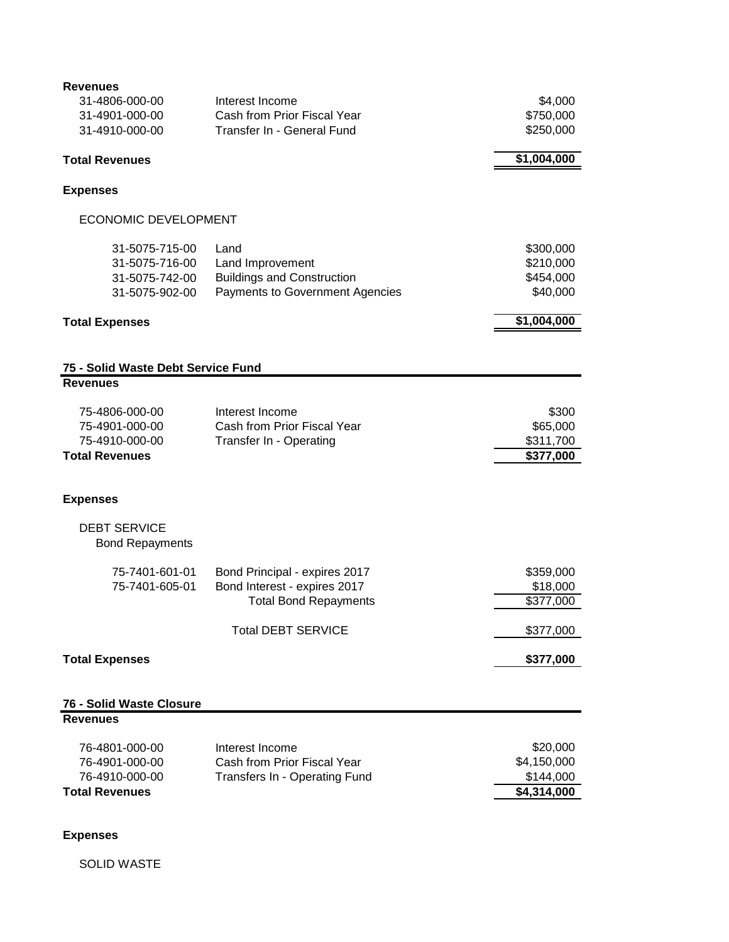| <b>Revenues</b>                    |                                        |             |
|------------------------------------|----------------------------------------|-------------|
| 31-4806-000-00                     | Interest Income                        | \$4,000     |
| 31-4901-000-00                     | Cash from Prior Fiscal Year            | \$750,000   |
| 31-4910-000-00                     | Transfer In - General Fund             | \$250,000   |
| <b>Total Revenues</b>              |                                        | \$1,004,000 |
| <b>Expenses</b>                    |                                        |             |
|                                    |                                        |             |
| <b>ECONOMIC DEVELOPMENT</b>        |                                        |             |
| 31-5075-715-00                     | Land                                   | \$300,000   |
| 31-5075-716-00                     | Land Improvement                       | \$210,000   |
| 31-5075-742-00                     | <b>Buildings and Construction</b>      | \$454,000   |
| 31-5075-902-00                     | <b>Payments to Government Agencies</b> | \$40,000    |
| <b>Total Expenses</b>              |                                        | \$1,004,000 |
|                                    |                                        |             |
| 75 - Solid Waste Debt Service Fund |                                        |             |
| <b>Revenues</b>                    |                                        |             |
| 75-4806-000-00                     | Interest Income                        | \$300       |
| 75-4901-000-00                     | Cash from Prior Fiscal Year            | \$65,000    |
| 75-4910-000-00                     | Transfer In - Operating                | \$311,700   |
| <b>Total Revenues</b>              |                                        | \$377,000   |
| <b>Expenses</b>                    |                                        |             |
|                                    |                                        |             |
| <b>DEBT SERVICE</b>                |                                        |             |
| <b>Bond Repayments</b>             |                                        |             |
| 75-7401-601-01                     | Bond Principal - expires 2017          | \$359,000   |
| 75-7401-605-01                     | Bond Interest - expires 2017           | \$18,000    |
|                                    | <b>Total Bond Repayments</b>           | \$377,000   |
|                                    | <b>Total DEBT SERVICE</b>              | \$377,000   |
| <b>Total Expenses</b>              |                                        | \$377,000   |
|                                    |                                        |             |
| 76 - Solid Waste Closure           |                                        |             |
| <b>Revenues</b>                    |                                        |             |
| 76-4801-000-00                     | Interest Income                        | \$20,000    |
| 76-4901-000-00                     | Cash from Prior Fiscal Year            | \$4,150,000 |
| 76-4910-000-00                     | Transfers In - Operating Fund          | \$144,000   |
| <b>Total Revenues</b>              |                                        | \$4,314,000 |
|                                    |                                        |             |

## **Expenses**

SOLID WASTE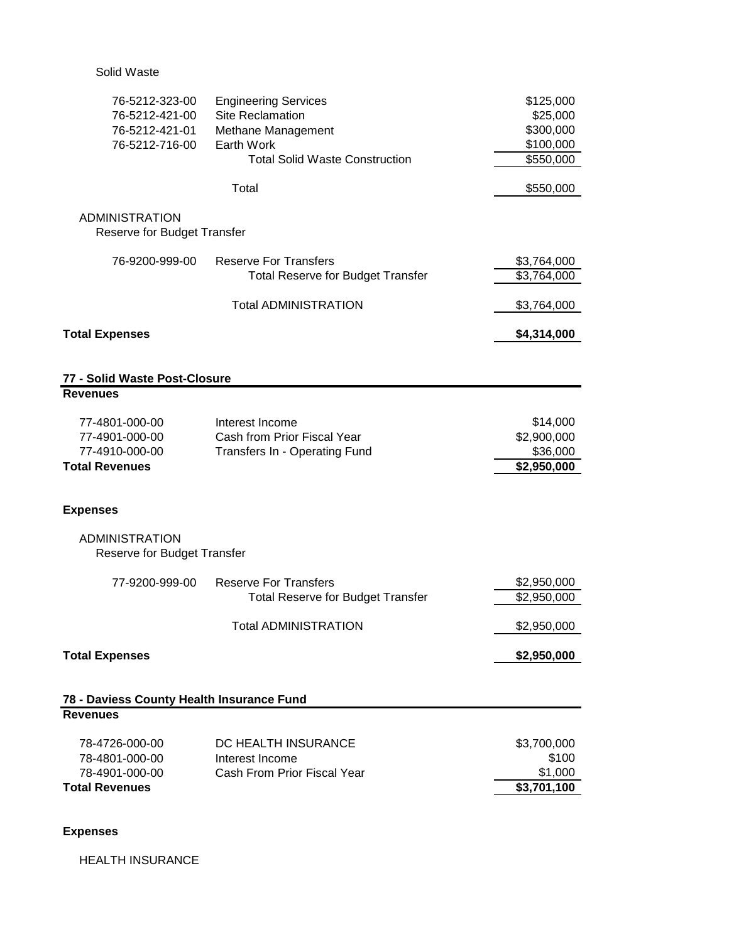Solid Waste

| 76-5212-323-00<br>76-5212-421-00<br>76-5212-421-01<br>76-5212-716-00 | <b>Engineering Services</b><br><b>Site Reclamation</b><br>Methane Management<br>Earth Work<br><b>Total Solid Waste Construction</b> | \$125,000<br>\$25,000<br>\$300,000<br>\$100,000<br>\$550,000 |
|----------------------------------------------------------------------|-------------------------------------------------------------------------------------------------------------------------------------|--------------------------------------------------------------|
|                                                                      | Total                                                                                                                               | \$550,000                                                    |
| <b>ADMINISTRATION</b><br>Reserve for Budget Transfer                 |                                                                                                                                     |                                                              |
| 76-9200-999-00                                                       | <b>Reserve For Transfers</b>                                                                                                        | \$3,764,000                                                  |
|                                                                      | <b>Total Reserve for Budget Transfer</b>                                                                                            | \$3,764,000                                                  |
|                                                                      | <b>Total ADMINISTRATION</b>                                                                                                         | \$3,764,000                                                  |
| <b>Total Expenses</b>                                                |                                                                                                                                     | \$4,314,000                                                  |
| 77 - Solid Waste Post-Closure                                        |                                                                                                                                     |                                                              |
| <b>Revenues</b>                                                      |                                                                                                                                     |                                                              |
| 77-4801-000-00<br>77-4901-000-00<br>77-4910-000-00                   | Interest Income<br>Cash from Prior Fiscal Year<br>Transfers In - Operating Fund                                                     | \$14,000<br>\$2,900,000<br>\$36,000                          |
| <b>Total Revenues</b>                                                |                                                                                                                                     | \$2,950,000                                                  |
| <b>Expenses</b>                                                      |                                                                                                                                     |                                                              |
| <b>ADMINISTRATION</b><br>Reserve for Budget Transfer                 |                                                                                                                                     |                                                              |
| 77-9200-999-00                                                       | <b>Reserve For Transfers</b>                                                                                                        | \$2,950,000                                                  |
|                                                                      | <b>Total Reserve for Budget Transfer</b>                                                                                            | \$2,950,000                                                  |
|                                                                      | Total ADMINISTRATION                                                                                                                | \$2,950,000                                                  |
| <b>Total Expenses</b>                                                |                                                                                                                                     | \$2,950,000                                                  |
| 78 - Daviess County Health Insurance Fund                            |                                                                                                                                     |                                                              |
| <b>Revenues</b>                                                      |                                                                                                                                     |                                                              |
| 78-4726-000-00                                                       | DC HEALTH INSURANCE                                                                                                                 | \$3,700,000                                                  |
| 78-4801-000-00<br>78-4901-000-00                                     | Interest Income<br>Cash From Prior Fiscal Year                                                                                      | \$100<br>\$1,000                                             |
| <b>Total Revenues</b>                                                |                                                                                                                                     | \$3,701,100                                                  |
|                                                                      |                                                                                                                                     |                                                              |

## **Expenses**

HEALTH INSURANCE